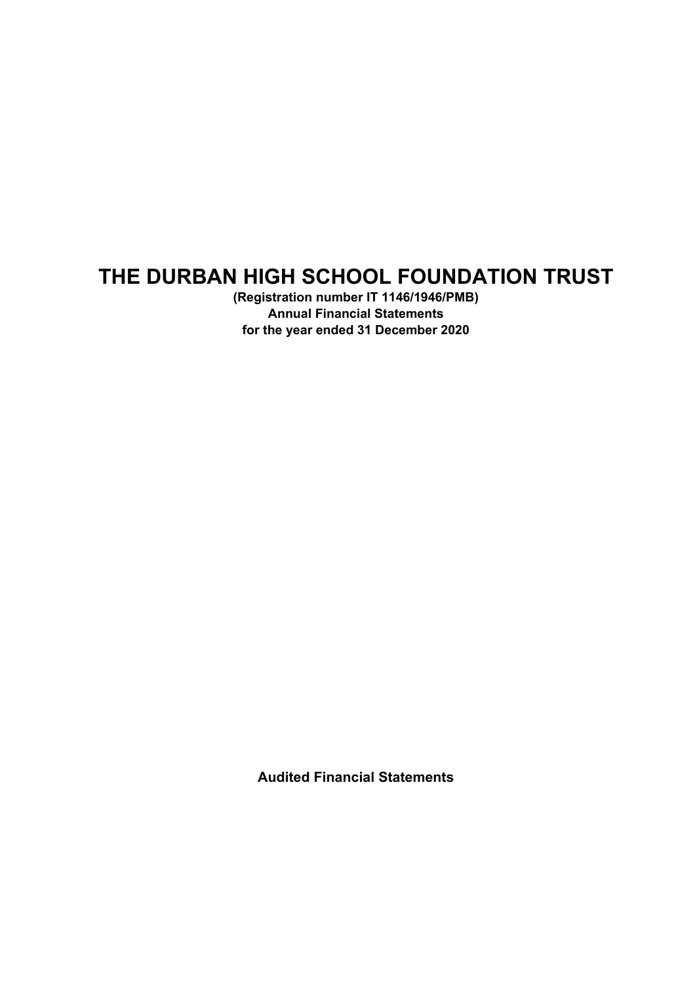**(Registration number IT 1146/1946/PMB) Annual Financial Statements for the year ended 31 December 2020**

**Audited Financial Statements**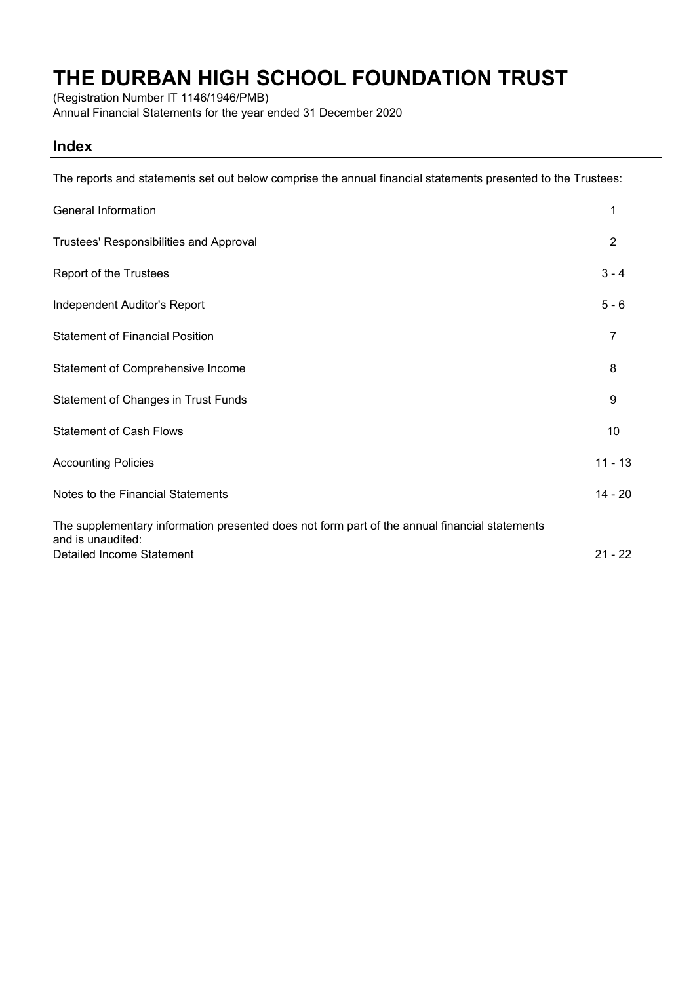(Registration Number IT 1146/1946/PMB)

Annual Financial Statements for the year ended 31 December 2020

### **Index**

The reports and statements set out below comprise the annual financial statements presented to the Trustees:

| General Information                                                                                                | 1              |
|--------------------------------------------------------------------------------------------------------------------|----------------|
| Trustees' Responsibilities and Approval                                                                            | $\overline{2}$ |
| Report of the Trustees                                                                                             | $3 - 4$        |
| Independent Auditor's Report                                                                                       | $5 - 6$        |
| <b>Statement of Financial Position</b>                                                                             | 7              |
| Statement of Comprehensive Income                                                                                  | 8              |
| Statement of Changes in Trust Funds                                                                                | 9              |
| <b>Statement of Cash Flows</b>                                                                                     | 10             |
| <b>Accounting Policies</b>                                                                                         | $11 - 13$      |
| Notes to the Financial Statements                                                                                  | $14 - 20$      |
| The supplementary information presented does not form part of the annual financial statements<br>and is unaudited: |                |
| Detailed Income Statement                                                                                          | $21 - 22$      |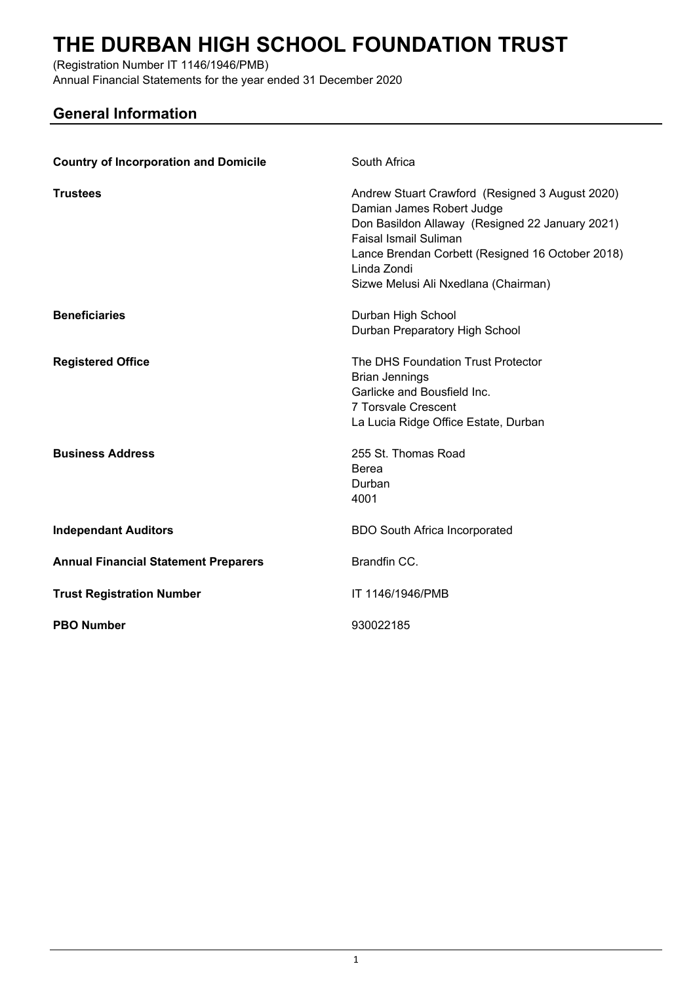(Registration Number IT 1146/1946/PMB)

Annual Financial Statements for the year ended 31 December 2020

### **General Information**

| <b>Country of Incorporation and Domicile</b> | South Africa                                                                                                                                                                                                                                                               |
|----------------------------------------------|----------------------------------------------------------------------------------------------------------------------------------------------------------------------------------------------------------------------------------------------------------------------------|
| <b>Trustees</b>                              | Andrew Stuart Crawford (Resigned 3 August 2020)<br>Damian James Robert Judge<br>Don Basildon Allaway (Resigned 22 January 2021)<br><b>Faisal Ismail Suliman</b><br>Lance Brendan Corbett (Resigned 16 October 2018)<br>Linda Zondi<br>Sizwe Melusi Ali Nxedlana (Chairman) |
| <b>Beneficiaries</b>                         | Durban High School<br>Durban Preparatory High School                                                                                                                                                                                                                       |
| <b>Registered Office</b>                     | The DHS Foundation Trust Protector<br><b>Brian Jennings</b><br>Garlicke and Bousfield Inc.<br>7 Torsvale Crescent<br>La Lucia Ridge Office Estate, Durban                                                                                                                  |
| <b>Business Address</b>                      | 255 St. Thomas Road<br><b>Berea</b><br>Durban<br>4001                                                                                                                                                                                                                      |
| <b>Independant Auditors</b>                  | <b>BDO South Africa Incorporated</b>                                                                                                                                                                                                                                       |
| <b>Annual Financial Statement Preparers</b>  | Brandfin CC.                                                                                                                                                                                                                                                               |
| <b>Trust Registration Number</b>             | IT 1146/1946/PMB                                                                                                                                                                                                                                                           |
| <b>PBO Number</b>                            | 930022185                                                                                                                                                                                                                                                                  |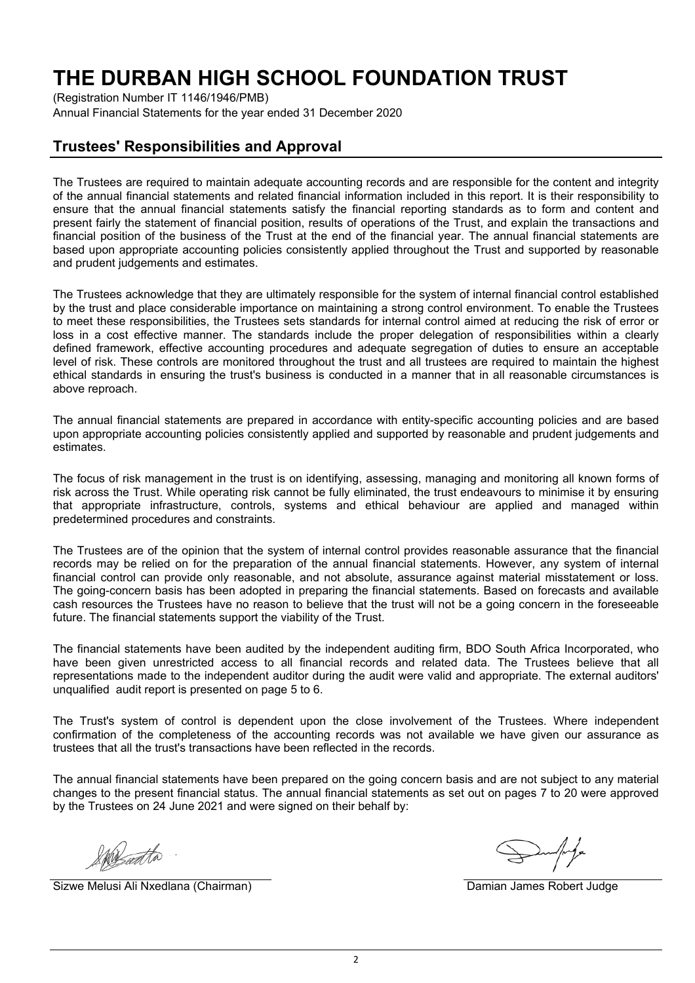(Registration Number IT 1146/1946/PMB) Annual Financial Statements for the year ended 31 December 2020

### **Trustees' Responsibilities and Approval**

The Trustees are required to maintain adequate accounting records and are responsible for the content and integrity of the annual financial statements and related financial information included in this report. It is their responsibility to ensure that the annual financial statements satisfy the financial reporting standards as to form and content and present fairly the statement of financial position, results of operations of the Trust, and explain the transactions and financial position of the business of the Trust at the end of the financial year. The annual financial statements are based upon appropriate accounting policies consistently applied throughout the Trust and supported by reasonable and prudent judgements and estimates.

The Trustees acknowledge that they are ultimately responsible for the system of internal financial control established by the trust and place considerable importance on maintaining a strong control environment. To enable the Trustees to meet these responsibilities, the Trustees sets standards for internal control aimed at reducing the risk of error or loss in a cost effective manner. The standards include the proper delegation of responsibilities within a clearly defined framework, effective accounting procedures and adequate segregation of duties to ensure an acceptable level of risk. These controls are monitored throughout the trust and all trustees are required to maintain the highest ethical standards in ensuring the trust's business is conducted in a manner that in all reasonable circumstances is above reproach.

The annual financial statements are prepared in accordance with entity-specific accounting policies and are based upon appropriate accounting policies consistently applied and supported by reasonable and prudent judgements and estimates.

The focus of risk management in the trust is on identifying, assessing, managing and monitoring all known forms of risk across the Trust. While operating risk cannot be fully eliminated, the trust endeavours to minimise it by ensuring that appropriate infrastructure, controls, systems and ethical behaviour are applied and managed within predetermined procedures and constraints.

The Trustees are of the opinion that the system of internal control provides reasonable assurance that the financial records may be relied on for the preparation of the annual financial statements. However, any system of internal financial control can provide only reasonable, and not absolute, assurance against material misstatement or loss. The going-concern basis has been adopted in preparing the financial statements. Based on forecasts and available cash resources the Trustees have no reason to believe that the trust will not be a going concern in the foreseeable future. The financial statements support the viability of the Trust.

The financial statements have been audited by the independent auditing firm, BDO South Africa Incorporated, who have been given unrestricted access to all financial records and related data. The Trustees believe that all representations made to the independent auditor during the audit were valid and appropriate. The external auditors' unqualified audit report is presented on page 5 to 6.

The Trust's system of control is dependent upon the close involvement of the Trustees. Where independent confirmation of the completeness of the accounting records was not available we have given our assurance as trustees that all the trust's transactions have been reflected in the records.

The annual financial statements have been prepared on the going concern basis and are not subject to any material changes to the present financial status. The annual financial statements as set out on pages 7 to 20 were approved by the Trustees on 24 June 2021 and were signed on their behalf by:

Wes<del>enth</del>a

Sizwe Melusi Ali Nxedlana (Chairman) Damian James Robert Judge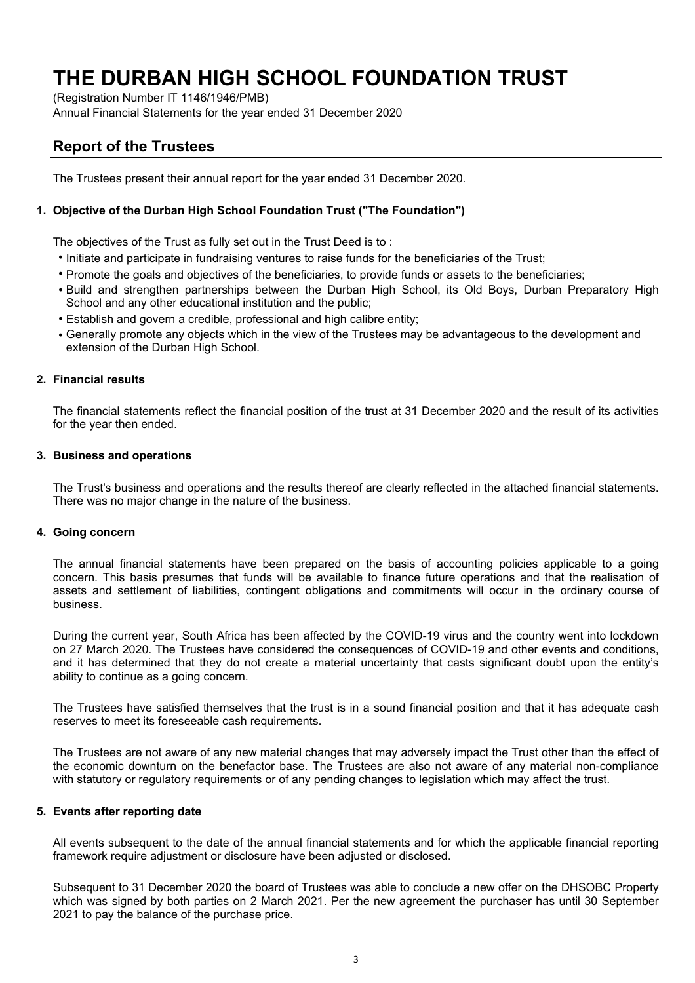(Registration Number IT 1146/1946/PMB) Annual Financial Statements for the year ended 31 December 2020

## **Report of the Trustees**

The Trustees present their annual report for the year ended 31 December 2020.

### **1. Objective of the Durban High School Foundation Trust ("The Foundation")**

The objectives of the Trust as fully set out in the Trust Deed is to :

- Initiate and participate in fundraising ventures to raise funds for the beneficiaries of the Trust;
- Promote the goals and objectives of the beneficiaries, to provide funds or assets to the beneficiaries;
- Build and strengthen partnerships between the Durban High School, its Old Boys, Durban Preparatory High School and any other educational institution and the public;
- Establish and govern a credible, professional and high calibre entity;
- Generally promote any objects which in the view of the Trustees may be advantageous to the development and extension of the Durban High School.

#### **2. Financial results**

The financial statements reflect the financial position of the trust at 31 December 2020 and the result of its activities for the year then ended.

#### **3. Business and operations**

The Trust's business and operations and the results thereof are clearly reflected in the attached financial statements. There was no major change in the nature of the business.

#### **4. Going concern**

The annual financial statements have been prepared on the basis of accounting policies applicable to a going concern. This basis presumes that funds will be available to finance future operations and that the realisation of assets and settlement of liabilities, contingent obligations and commitments will occur in the ordinary course of business.

During the current year, South Africa has been affected by the COVID-19 virus and the country went into lockdown on 27 March 2020. The Trustees have considered the consequences of COVID-19 and other events and conditions, and it has determined that they do not create a material uncertainty that casts significant doubt upon the entity's ability to continue as a going concern.

The Trustees have satisfied themselves that the trust is in a sound financial position and that it has adequate cash reserves to meet its foreseeable cash requirements.

The Trustees are not aware of any new material changes that may adversely impact the Trust other than the effect of the economic downturn on the benefactor base. The Trustees are also not aware of any material non-compliance with statutory or regulatory requirements or of any pending changes to legislation which may affect the trust.

#### **5. Events after reporting date**

All events subsequent to the date of the annual financial statements and for which the applicable financial reporting framework require adjustment or disclosure have been adjusted or disclosed.

Subsequent to 31 December 2020 the board of Trustees was able to conclude a new offer on the DHSOBC Property which was signed by both parties on 2 March 2021. Per the new agreement the purchaser has until 30 September 2021 to pay the balance of the purchase price.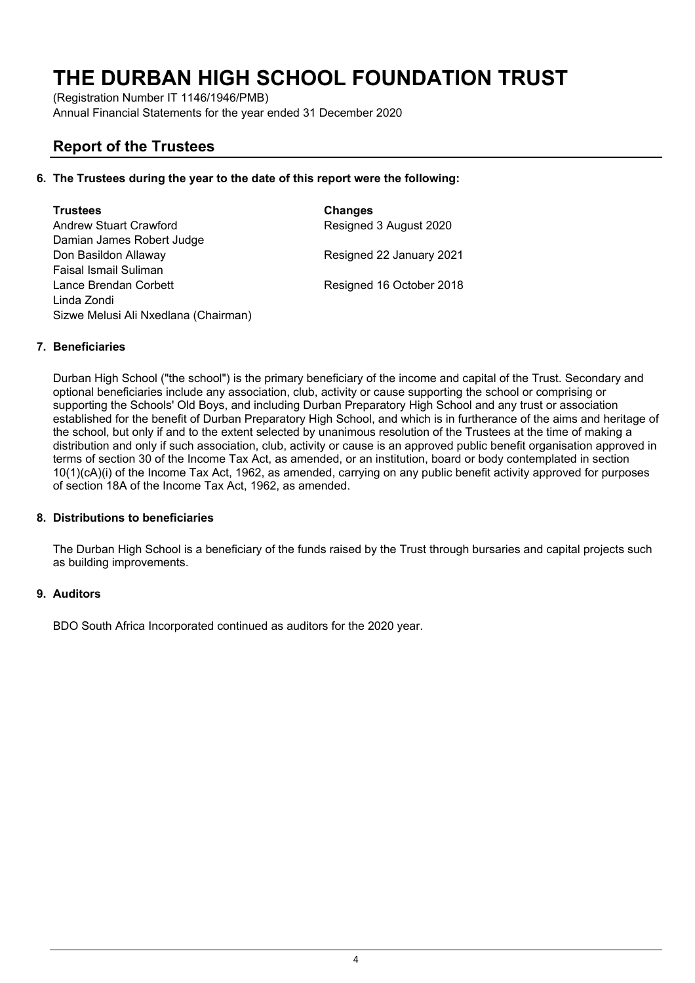(Registration Number IT 1146/1946/PMB) Annual Financial Statements for the year ended 31 December 2020

### **Report of the Trustees**

#### **6. The Trustees during the year to the date of this report were the following:**

| <b>Trustees</b>                      | <b>Changes</b>           |
|--------------------------------------|--------------------------|
| <b>Andrew Stuart Crawford</b>        | Resigned 3 August 2020   |
| Damian James Robert Judge            |                          |
| Don Basildon Allaway                 | Resigned 22 January 2021 |
| Faisal Ismail Suliman                |                          |
| Lance Brendan Corbett                | Resigned 16 October 2018 |
| Linda Zondi                          |                          |
| Sizwe Melusi Ali Nxedlana (Chairman) |                          |

### **7. Beneficiaries**

Durban High School ("the school") is the primary beneficiary of the income and capital of the Trust. Secondary and optional beneficiaries include any association, club, activity or cause supporting the school or comprising or supporting the Schools' Old Boys, and including Durban Preparatory High School and any trust or association established for the benefit of Durban Preparatory High School, and which is in furtherance of the aims and heritage of the school, but only if and to the extent selected by unanimous resolution of the Trustees at the time of making a distribution and only if such association, club, activity or cause is an approved public benefit organisation approved in terms of section 30 of the Income Tax Act, as amended, or an institution, board or body contemplated in section 10(1)(cA)(i) of the Income Tax Act, 1962, as amended, carrying on any public benefit activity approved for purposes of section 18A of the Income Tax Act, 1962, as amended.

#### **8. Distributions to beneficiaries**

The Durban High School is a beneficiary of the funds raised by the Trust through bursaries and capital projects such as building improvements.

### **9. Auditors**

BDO South Africa Incorporated continued as auditors for the 2020 year.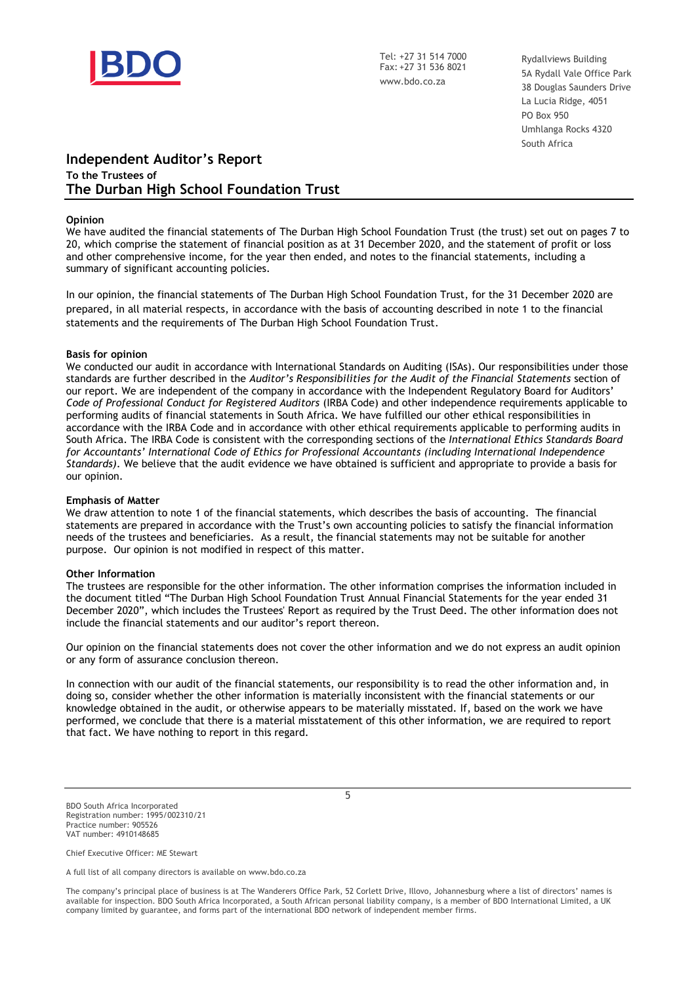

Tel: +27 31 514 7000 Fax: +27 31 536 8021 www.bdo.co.za

Rydallviews Building 5A Rydall Vale Office Park 38 Douglas Saunders Drive La Lucia Ridge, 4051 PO Box 950 Umhlanga Rocks 4320 South Africa

### **Independent Auditor's Report To the Trustees of The Durban High School Foundation Trust**

#### **Opinion**

We have audited the financial statements of The Durban High School Foundation Trust (the trust) set out on pages 7 to 20, which comprise the statement of financial position as at 31 December 2020, and the statement of profit or loss and other comprehensive income, for the year then ended, and notes to the financial statements, including a summary of significant accounting policies.

In our opinion, the financial statements of The Durban High School Foundation Trust, for the 31 December 2020 are prepared, in all material respects, in accordance with the basis of accounting described in note 1 to the financial statements and the requirements of The Durban High School Foundation Trust.

#### **Basis for opinion**

We conducted our audit in accordance with International Standards on Auditing (ISAs). Our responsibilities under those standards are further described in the *Auditor's Responsibilities for the Audit of the Financial Statements* section of our report. We are independent of the company in accordance with the Independent Regulatory Board for Auditors' *Code of Professional Conduct for Registered Auditors* (IRBA Code) and other independence requirements applicable to performing audits of financial statements in South Africa. We have fulfilled our other ethical responsibilities in accordance with the IRBA Code and in accordance with other ethical requirements applicable to performing audits in South Africa. The IRBA Code is consistent with the corresponding sections of the *International Ethics Standards Board for Accountants' International Code of Ethics for Professional Accountants (including International Independence Standards)*. We believe that the audit evidence we have obtained is sufficient and appropriate to provide a basis for our opinion.

#### **Emphasis of Matter**

We draw attention to note 1 of the financial statements, which describes the basis of accounting. The financial statements are prepared in accordance with the Trust's own accounting policies to satisfy the financial information needs of the trustees and beneficiaries. As a result, the financial statements may not be suitable for another purpose. Our opinion is not modified in respect of this matter.

#### **Other Information**

The trustees are responsible for the other information. The other information comprises the information included in the document titled "The Durban High School Foundation Trust Annual Financial Statements for the year ended 31 December 2020", which includes the Trustees' Report as required by the Trust Deed. The other information does not include the financial statements and our auditor's report thereon.

Our opinion on the financial statements does not cover the other information and we do not express an audit opinion or any form of assurance conclusion thereon.

In connection with our audit of the financial statements, our responsibility is to read the other information and, in doing so, consider whether the other information is materially inconsistent with the financial statements or our knowledge obtained in the audit, or otherwise appears to be materially misstated. If, based on the work we have performed, we conclude that there is a material misstatement of this other information, we are required to report that fact. We have nothing to report in this regard.

5

BDO South Africa Incorporated Registration number: 1995/002310/21 Practice number: 905526 VAT number: 4910148685

Chief Executive Officer: ME Stewart

A full list of all company directors is available on www.bdo.co.za

The company's principal place of business is at The Wanderers Office Park, 52 Corlett Drive, Illovo, Johannesburg where a list of directors' names is available for inspection. BDO South Africa Incorporated, a South African personal liability company, is a member of BDO International Limited, a UK company limited by guarantee, and forms part of the international BDO network of independent member firms.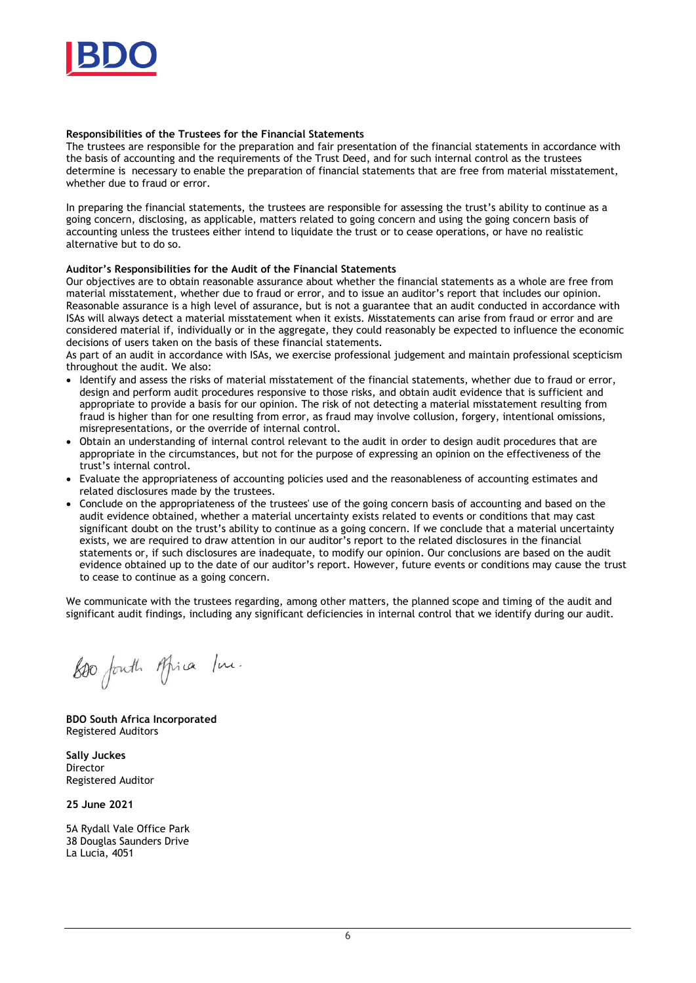

#### **Responsibilities of the Trustees for the Financial Statements**

The trustees are responsible for the preparation and fair presentation of the financial statements in accordance with the basis of accounting and the requirements of the Trust Deed, and for such internal control as the trustees determine is necessary to enable the preparation of financial statements that are free from material misstatement, whether due to fraud or error.

In preparing the financial statements, the trustees are responsible for assessing the trust's ability to continue as a going concern, disclosing, as applicable, matters related to going concern and using the going concern basis of accounting unless the trustees either intend to liquidate the trust or to cease operations, or have no realistic alternative but to do so.

#### **Auditor's Responsibilities for the Audit of the Financial Statements**

Our objectives are to obtain reasonable assurance about whether the financial statements as a whole are free from material misstatement, whether due to fraud or error, and to issue an auditor's report that includes our opinion. Reasonable assurance is a high level of assurance, but is not a guarantee that an audit conducted in accordance with ISAs will always detect a material misstatement when it exists. Misstatements can arise from fraud or error and are considered material if, individually or in the aggregate, they could reasonably be expected to influence the economic decisions of users taken on the basis of these financial statements.

As part of an audit in accordance with ISAs, we exercise professional judgement and maintain professional scepticism throughout the audit. We also:

- Identify and assess the risks of material misstatement of the financial statements, whether due to fraud or error, design and perform audit procedures responsive to those risks, and obtain audit evidence that is sufficient and appropriate to provide a basis for our opinion. The risk of not detecting a material misstatement resulting from fraud is higher than for one resulting from error, as fraud may involve collusion, forgery, intentional omissions, misrepresentations, or the override of internal control.
- Obtain an understanding of internal control relevant to the audit in order to design audit procedures that are appropriate in the circumstances, but not for the purpose of expressing an opinion on the effectiveness of the trust's internal control.
- Evaluate the appropriateness of accounting policies used and the reasonableness of accounting estimates and related disclosures made by the trustees.
- Conclude on the appropriateness of the trustees' use of the going concern basis of accounting and based on the audit evidence obtained, whether a material uncertainty exists related to events or conditions that may cast significant doubt on the trust's ability to continue as a going concern. If we conclude that a material uncertainty exists, we are required to draw attention in our auditor's report to the related disclosures in the financial statements or, if such disclosures are inadequate, to modify our opinion. Our conclusions are based on the audit evidence obtained up to the date of our auditor's report. However, future events or conditions may cause the trust to cease to continue as a going concern.

We communicate with the trustees regarding, among other matters, the planned scope and timing of the audit and significant audit findings, including any significant deficiencies in internal control that we identify during our audit.

800 fouth office Inc.

**BDO South Africa Incorporated** Registered Auditors

**Sally Juckes** Director Registered Auditor

**25 June 2021**

5A Rydall Vale Office Park 38 Douglas Saunders Drive La Lucia, 4051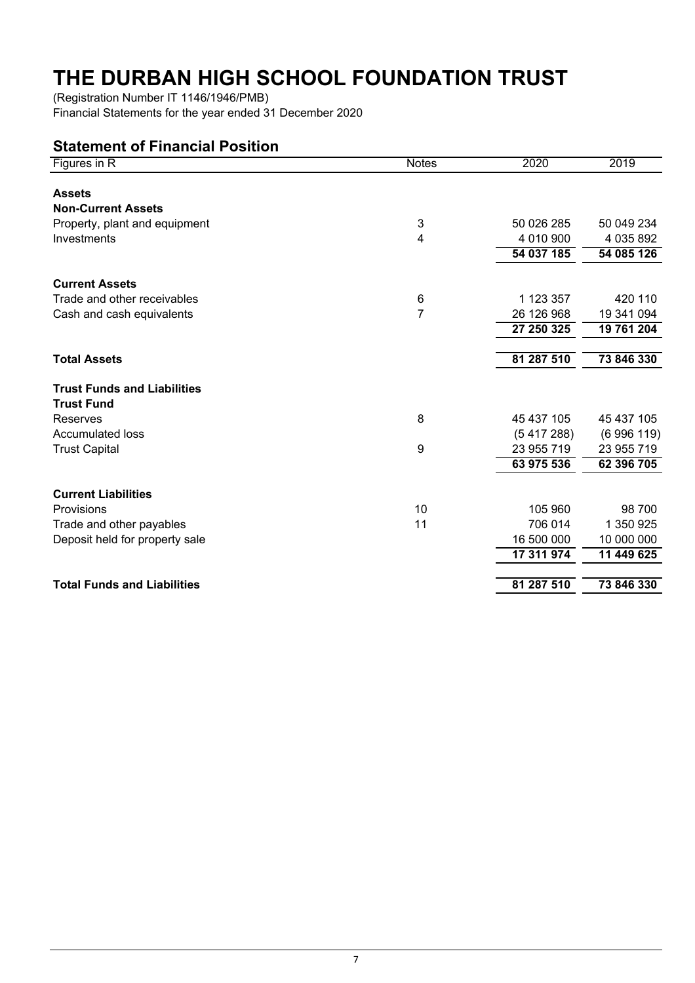(Registration Number IT 1146/1946/PMB)

Financial Statements for the year ended 31 December 2020

### **Statement of Financial Position**

| Figures in R                       | <b>Notes</b> | 2020       | 2019       |
|------------------------------------|--------------|------------|------------|
|                                    |              |            |            |
| <b>Assets</b>                      |              |            |            |
| <b>Non-Current Assets</b>          |              |            |            |
| Property, plant and equipment      | 3            | 50 026 285 | 50 049 234 |
| Investments                        | 4            | 4 010 900  | 4 035 892  |
|                                    |              | 54 037 185 | 54 085 126 |
| <b>Current Assets</b>              |              |            |            |
| Trade and other receivables        | $\,6$        | 1 123 357  | 420 110    |
| Cash and cash equivalents          | 7            | 26 126 968 | 19 341 094 |
|                                    |              | 27 250 325 | 19 761 204 |
|                                    |              |            |            |
| <b>Total Assets</b>                |              | 81 287 510 | 73 846 330 |
| <b>Trust Funds and Liabilities</b> |              |            |            |
| <b>Trust Fund</b>                  |              |            |            |
| Reserves                           | 8            | 45 437 105 | 45 437 105 |
| <b>Accumulated loss</b>            |              | (5417288)  | (6996119)  |
| <b>Trust Capital</b>               | 9            | 23 955 719 | 23 955 719 |
|                                    |              | 63 975 536 | 62 396 705 |
| <b>Current Liabilities</b>         |              |            |            |
| Provisions                         | 10           | 105 960    | 98 700     |
|                                    | 11           | 706 014    | 1 350 925  |
| Trade and other payables           |              |            |            |
| Deposit held for property sale     |              | 16 500 000 | 10 000 000 |
|                                    |              | 17 311 974 | 11 449 625 |
| <b>Total Funds and Liabilities</b> |              | 81 287 510 | 73 846 330 |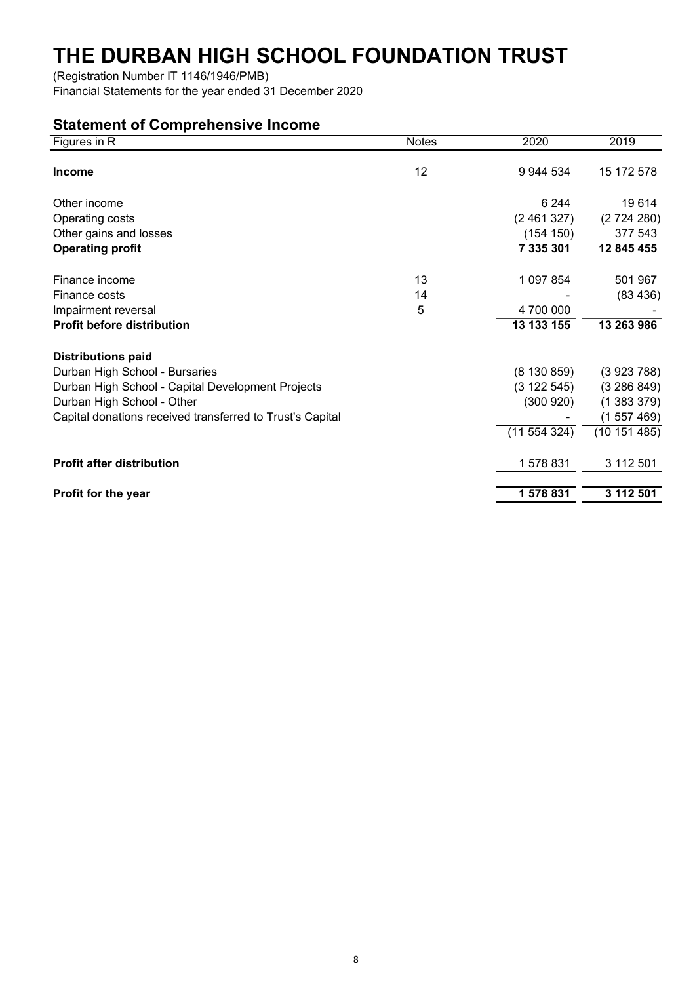(Registration Number IT 1146/1946/PMB) Financial Statements for the year ended 31 December 2020

## **Statement of Comprehensive Income**

| Figures in R                                              | <b>Notes</b> | 2020         | 2019         |
|-----------------------------------------------------------|--------------|--------------|--------------|
| <b>Income</b>                                             | 12           | 9 944 534    | 15 172 578   |
|                                                           |              |              |              |
| Other income                                              |              | 6 244        | 19614        |
| Operating costs                                           |              | (2461327)    | (2724280)    |
| Other gains and losses                                    |              | (154 150)    | 377 543      |
| <b>Operating profit</b>                                   |              | 7 335 301    | 12 845 455   |
| Finance income                                            | 13           | 1 097 854    | 501 967      |
| Finance costs                                             | 14           |              | (83 436)     |
| Impairment reversal                                       | 5            | 4 700 000    |              |
| Profit before distribution                                |              | 13 133 155   | 13 263 986   |
| <b>Distributions paid</b>                                 |              |              |              |
| Durban High School - Bursaries                            |              | (8130859)    | (3923788)    |
| Durban High School - Capital Development Projects         |              | (3122545)    | (3 286 849)  |
| Durban High School - Other                                |              | (300920)     | (1383379)    |
| Capital donations received transferred to Trust's Capital |              |              | (1557469)    |
|                                                           |              | (11 554 324) | (10 151 485) |
| <b>Profit after distribution</b>                          |              | 1578831      | 3 112 501    |
| Profit for the year                                       |              | 1 578 831    | 3 112 501    |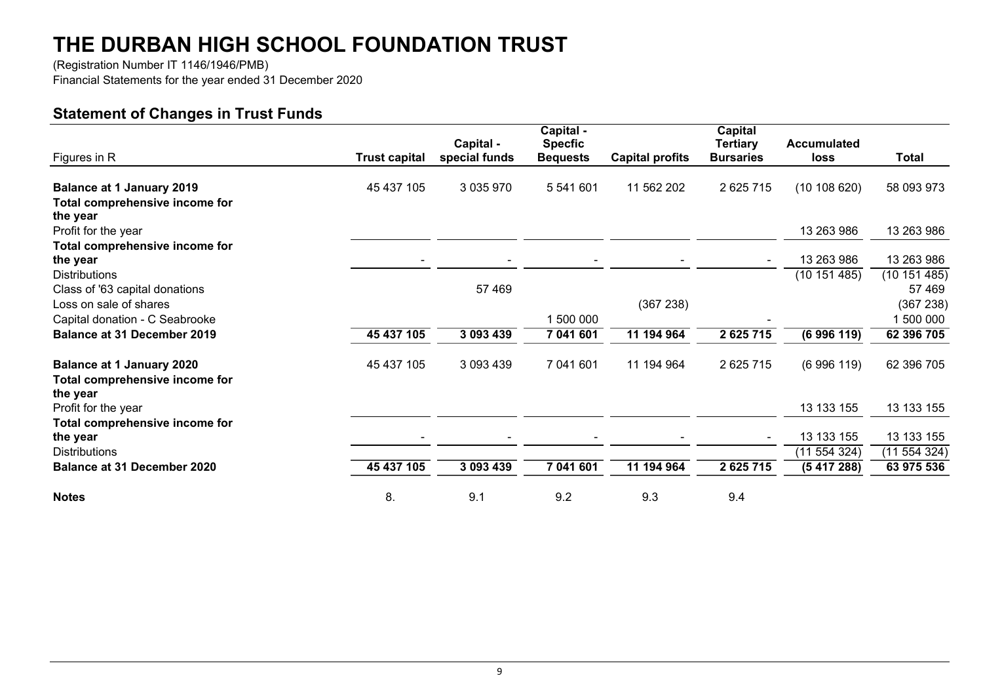(Registration Number IT 1146/1946/PMB) Financial Statements for the year ended 31 December 2020

## **Statement of Changes in Trust Funds**

| Figures in R                       | <b>Trust capital</b> | Capital -<br>special funds | Capital -<br><b>Specfic</b><br><b>Bequests</b> | <b>Capital profits</b> | Capital<br><b>Tertiary</b><br><b>Bursaries</b> | <b>Accumulated</b><br><b>loss</b> | <b>Total</b> |
|------------------------------------|----------------------|----------------------------|------------------------------------------------|------------------------|------------------------------------------------|-----------------------------------|--------------|
|                                    |                      |                            |                                                |                        |                                                |                                   |              |
| <b>Balance at 1 January 2019</b>   | 45 437 105           | 3 0 3 5 9 7 0              | 5 541 601                                      | 11 562 202             | 2 625 715                                      | (10108620)                        | 58 093 973   |
| Total comprehensive income for     |                      |                            |                                                |                        |                                                |                                   |              |
| the year                           |                      |                            |                                                |                        |                                                |                                   |              |
| Profit for the year                |                      |                            |                                                |                        |                                                | 13 263 986                        | 13 263 986   |
| Total comprehensive income for     |                      |                            |                                                |                        |                                                |                                   |              |
| the year                           |                      |                            |                                                |                        |                                                | 13 263 986                        | 13 263 986   |
| <b>Distributions</b>               |                      |                            |                                                |                        |                                                | (10151485)                        | (10151485)   |
| Class of '63 capital donations     |                      | 57 469                     |                                                |                        |                                                |                                   | 57 469       |
| Loss on sale of shares             |                      |                            |                                                | (367 238)              |                                                |                                   | (367 238)    |
| Capital donation - C Seabrooke     |                      |                            | 1 500 000                                      |                        |                                                |                                   | 500 000      |
| <b>Balance at 31 December 2019</b> | 45 437 105           | 3 093 439                  | 7 041 601                                      | 11 194 964             | 2 625 715                                      | (6996119)                         | 62 396 705   |
| <b>Balance at 1 January 2020</b>   | 45 437 105           | 3 093 439                  | 7 041 601                                      | 11 194 964             | 2 625 715                                      | (6996119)                         | 62 396 705   |
| Total comprehensive income for     |                      |                            |                                                |                        |                                                |                                   |              |
| the year                           |                      |                            |                                                |                        |                                                |                                   |              |
| Profit for the year                |                      |                            |                                                |                        |                                                | 13 133 155                        | 13 133 155   |
| Total comprehensive income for     |                      |                            |                                                |                        |                                                |                                   |              |
| the year                           |                      |                            |                                                |                        |                                                | 13 133 155                        | 13 133 155   |
| <b>Distributions</b>               |                      |                            |                                                |                        |                                                | (11 554 324)                      | (11 554 324) |
| <b>Balance at 31 December 2020</b> | 45 437 105           | 3 093 439                  | 7 041 601                                      | 11 194 964             | 2 625 715                                      | (5417288)                         | 63 975 536   |
| <b>Notes</b>                       | 8.                   | 9.1                        | 9.2                                            | 9.3                    | 9.4                                            |                                   |              |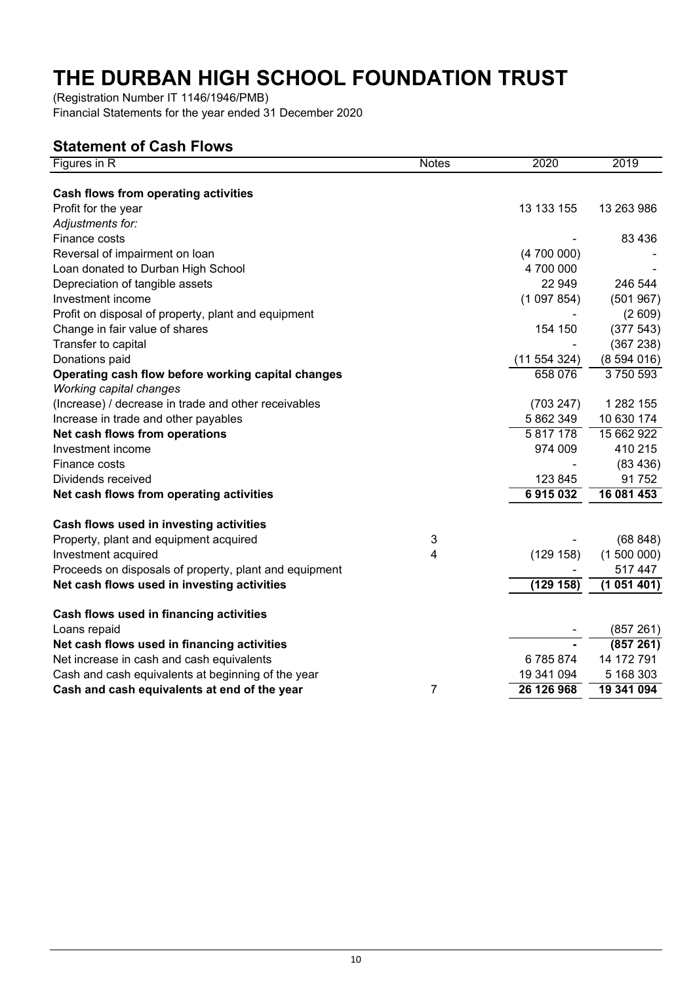(Registration Number IT 1146/1946/PMB) Financial Statements for the year ended 31 December 2020

## **Statement of Cash Flows**

| Figures in R                                           | <b>Notes</b> | 2020         | 2019       |
|--------------------------------------------------------|--------------|--------------|------------|
|                                                        |              |              |            |
| Cash flows from operating activities                   |              | 13 133 155   | 13 263 986 |
| Profit for the year                                    |              |              |            |
| Adjustments for:<br>Finance costs                      |              |              | 83 436     |
| Reversal of impairment on loan                         |              | (4700000)    |            |
|                                                        |              | 4700000      |            |
| Loan donated to Durban High School                     |              | 22 949       | 246 544    |
| Depreciation of tangible assets<br>Investment income   |              | (1097854)    |            |
|                                                        |              |              | (501967)   |
| Profit on disposal of property, plant and equipment    |              |              | (2609)     |
| Change in fair value of shares                         |              | 154 150      | (377543)   |
| Transfer to capital                                    |              |              | (367 238)  |
| Donations paid                                         |              | (11 554 324) | (8594016)  |
| Operating cash flow before working capital changes     |              | 658 076      | 3750593    |
| <b>Working capital changes</b>                         |              |              |            |
| (Increase) / decrease in trade and other receivables   |              | (703 247)    | 1 282 155  |
| Increase in trade and other payables                   |              | 5 862 349    | 10 630 174 |
| Net cash flows from operations                         |              | 5 817 178    | 15 662 922 |
| Investment income                                      |              | 974 009      | 410 215    |
| Finance costs                                          |              |              | (83436)    |
| Dividends received                                     |              | 123 845      | 91752      |
| Net cash flows from operating activities               |              | 6915032      | 16 081 453 |
| Cash flows used in investing activities                |              |              |            |
| Property, plant and equipment acquired                 | 3            |              | (68848)    |
| Investment acquired                                    | 4            | (129 158)    | (1500000)  |
| Proceeds on disposals of property, plant and equipment |              |              | 517 447    |
| Net cash flows used in investing activities            |              | (129 158)    | (1051401)  |
| Cash flows used in financing activities                |              |              |            |
| Loans repaid                                           |              |              | (857261)   |
| Net cash flows used in financing activities            |              |              | (857261)   |
| Net increase in cash and cash equivalents              |              | 6785874      | 14 172 791 |
| Cash and cash equivalents at beginning of the year     |              | 19 341 094   | 5 168 303  |
| Cash and cash equivalents at end of the year           | 7            | 26 126 968   | 19 341 094 |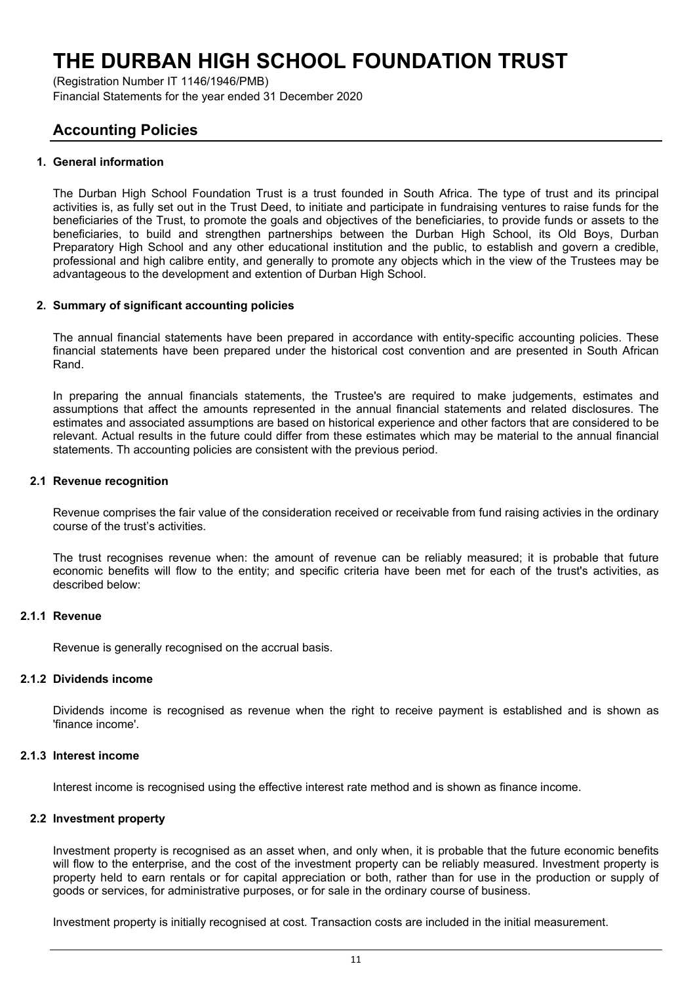(Registration Number IT 1146/1946/PMB) Financial Statements for the year ended 31 December 2020

### **Accounting Policies**

#### **1. General information**

The Durban High School Foundation Trust is a trust founded in South Africa. The type of trust and its principal activities is, as fully set out in the Trust Deed, to initiate and participate in fundraising ventures to raise funds for the beneficiaries of the Trust, to promote the goals and objectives of the beneficiaries, to provide funds or assets to the beneficiaries, to build and strengthen partnerships between the Durban High School, its Old Boys, Durban Preparatory High School and any other educational institution and the public, to establish and govern a credible, professional and high calibre entity, and generally to promote any objects which in the view of the Trustees may be advantageous to the development and extention of Durban High School.

#### **2. Summary of significant accounting policies**

The annual financial statements have been prepared in accordance with entity-specific accounting policies. These financial statements have been prepared under the historical cost convention and are presented in South African Rand.

In preparing the annual financials statements, the Trustee's are required to make judgements, estimates and assumptions that affect the amounts represented in the annual financial statements and related disclosures. The estimates and associated assumptions are based on historical experience and other factors that are considered to be relevant. Actual results in the future could differ from these estimates which may be material to the annual financial statements. Th accounting policies are consistent with the previous period.

#### **2.1 Revenue recognition**

Revenue comprises the fair value of the consideration received or receivable from fund raising activies in the ordinary course of the trust's activities.

The trust recognises revenue when: the amount of revenue can be reliably measured; it is probable that future economic benefits will flow to the entity; and specific criteria have been met for each of the trust's activities, as described below:

#### **2.1.1 Revenue**

Revenue is generally recognised on the accrual basis.

#### **2.1.2 Dividends income**

Dividends income is recognised as revenue when the right to receive payment is established and is shown as 'finance income'.

#### **2.1.3 Interest income**

Interest income is recognised using the effective interest rate method and is shown as finance income.

#### **2.2 Investment property**

Investment property is recognised as an asset when, and only when, it is probable that the future economic benefits will flow to the enterprise, and the cost of the investment property can be reliably measured. Investment property is property held to earn rentals or for capital appreciation or both, rather than for use in the production or supply of goods or services, for administrative purposes, or for sale in the ordinary course of business.

Investment property is initially recognised at cost. Transaction costs are included in the initial measurement.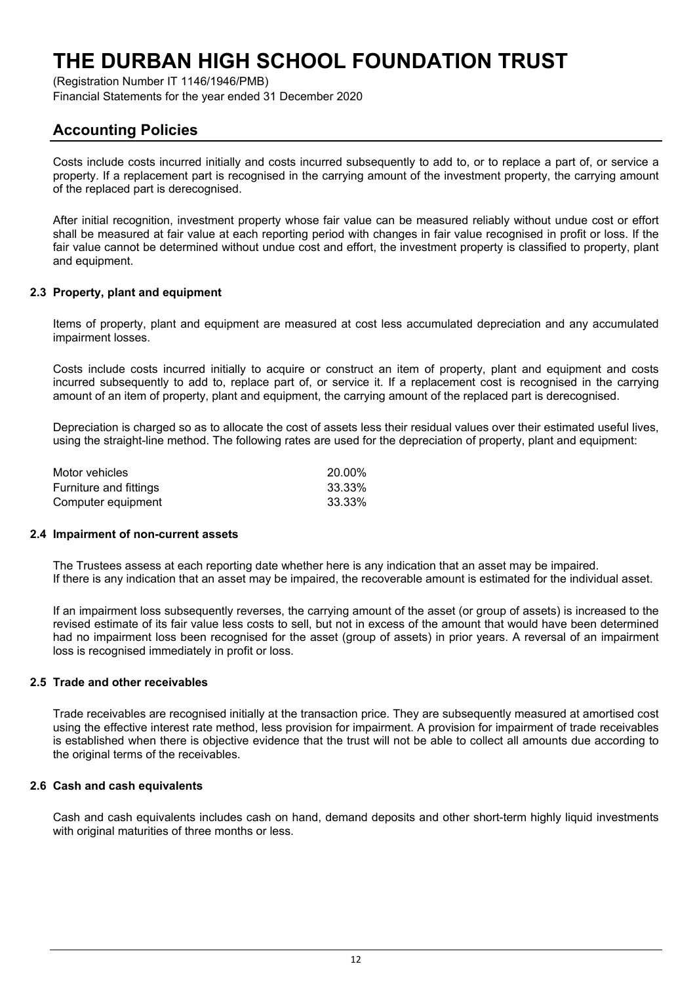(Registration Number IT 1146/1946/PMB) Financial Statements for the year ended 31 December 2020

### **Accounting Policies**

Costs include costs incurred initially and costs incurred subsequently to add to, or to replace a part of, or service a property. If a replacement part is recognised in the carrying amount of the investment property, the carrying amount of the replaced part is derecognised.

After initial recognition, investment property whose fair value can be measured reliably without undue cost or effort shall be measured at fair value at each reporting period with changes in fair value recognised in profit or loss. If the fair value cannot be determined without undue cost and effort, the investment property is classified to property, plant and equipment.

### **2.3 Property, plant and equipment**

Items of property, plant and equipment are measured at cost less accumulated depreciation and any accumulated impairment losses.

Costs include costs incurred initially to acquire or construct an item of property, plant and equipment and costs incurred subsequently to add to, replace part of, or service it. If a replacement cost is recognised in the carrying amount of an item of property, plant and equipment, the carrying amount of the replaced part is derecognised.

Depreciation is charged so as to allocate the cost of assets less their residual values over their estimated useful lives, using the straight-line method. The following rates are used for the depreciation of property, plant and equipment:

| Motor vehicles         | 20.00% |
|------------------------|--------|
| Furniture and fittings | 33.33% |
| Computer equipment     | 33.33% |

#### **2.4 Impairment of non-current assets**

The Trustees assess at each reporting date whether here is any indication that an asset may be impaired. If there is any indication that an asset may be impaired, the recoverable amount is estimated for the individual asset.

If an impairment loss subsequently reverses, the carrying amount of the asset (or group of assets) is increased to the revised estimate of its fair value less costs to sell, but not in excess of the amount that would have been determined had no impairment loss been recognised for the asset (group of assets) in prior years. A reversal of an impairment loss is recognised immediately in profit or loss.

### **2.5 Trade and other receivables**

Trade receivables are recognised initially at the transaction price. They are subsequently measured at amortised cost using the effective interest rate method, less provision for impairment. A provision for impairment of trade receivables is established when there is objective evidence that the trust will not be able to collect all amounts due according to the original terms of the receivables.

#### **2.6 Cash and cash equivalents**

Cash and cash equivalents includes cash on hand, demand deposits and other short-term highly liquid investments with original maturities of three months or less.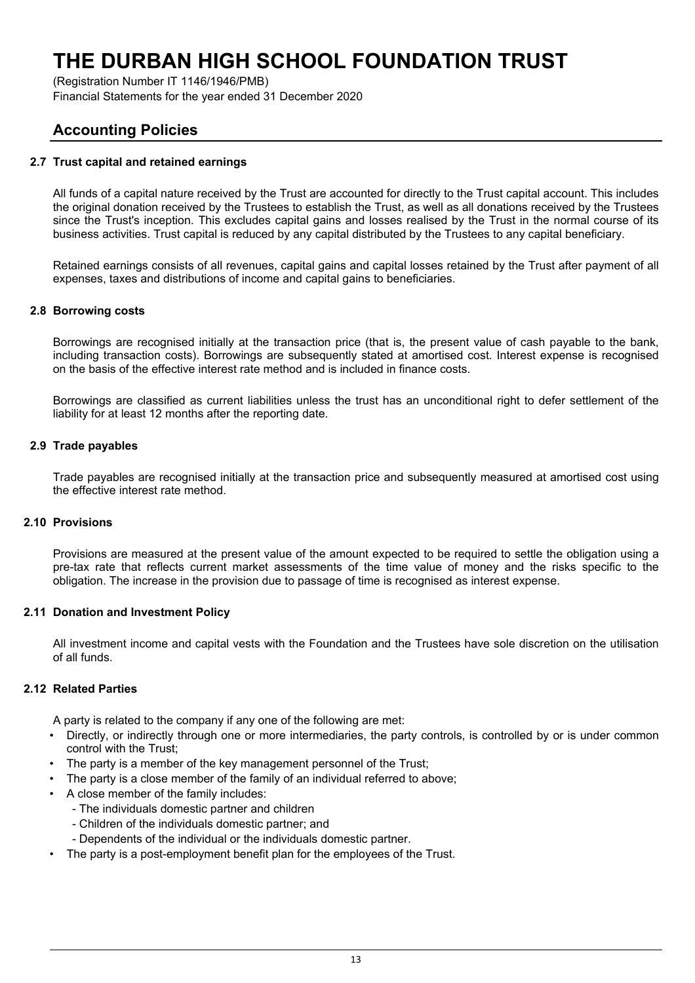(Registration Number IT 1146/1946/PMB) Financial Statements for the year ended 31 December 2020

### **Accounting Policies**

### **2.7 Trust capital and retained earnings**

All funds of a capital nature received by the Trust are accounted for directly to the Trust capital account. This includes the original donation received by the Trustees to establish the Trust, as well as all donations received by the Trustees since the Trust's inception. This excludes capital gains and losses realised by the Trust in the normal course of its business activities. Trust capital is reduced by any capital distributed by the Trustees to any capital beneficiary.

Retained earnings consists of all revenues, capital gains and capital losses retained by the Trust after payment of all expenses, taxes and distributions of income and capital gains to beneficiaries.

#### **2.8 Borrowing costs**

Borrowings are recognised initially at the transaction price (that is, the present value of cash payable to the bank, including transaction costs). Borrowings are subsequently stated at amortised cost. Interest expense is recognised on the basis of the effective interest rate method and is included in finance costs.

Borrowings are classified as current liabilities unless the trust has an unconditional right to defer settlement of the liability for at least 12 months after the reporting date.

### **2.9 Trade payables**

Trade payables are recognised initially at the transaction price and subsequently measured at amortised cost using the effective interest rate method.

#### **2.10 Provisions**

Provisions are measured at the present value of the amount expected to be required to settle the obligation using a pre-tax rate that reflects current market assessments of the time value of money and the risks specific to the obligation. The increase in the provision due to passage of time is recognised as interest expense.

#### **2.11 Donation and Investment Policy**

All investment income and capital vests with the Foundation and the Trustees have sole discretion on the utilisation of all funds.

#### **2.12 Related Parties**

A party is related to the company if any one of the following are met:

- Directly, or indirectly through one or more intermediaries, the party controls, is controlled by or is under common control with the Trust;
- The party is a member of the key management personnel of the Trust;
- The party is a close member of the family of an individual referred to above;
- A close member of the family includes:
	- The individuals domestic partner and children
	- Children of the individuals domestic partner; and
	- Dependents of the individual or the individuals domestic partner.
- The party is a post-employment benefit plan for the employees of the Trust.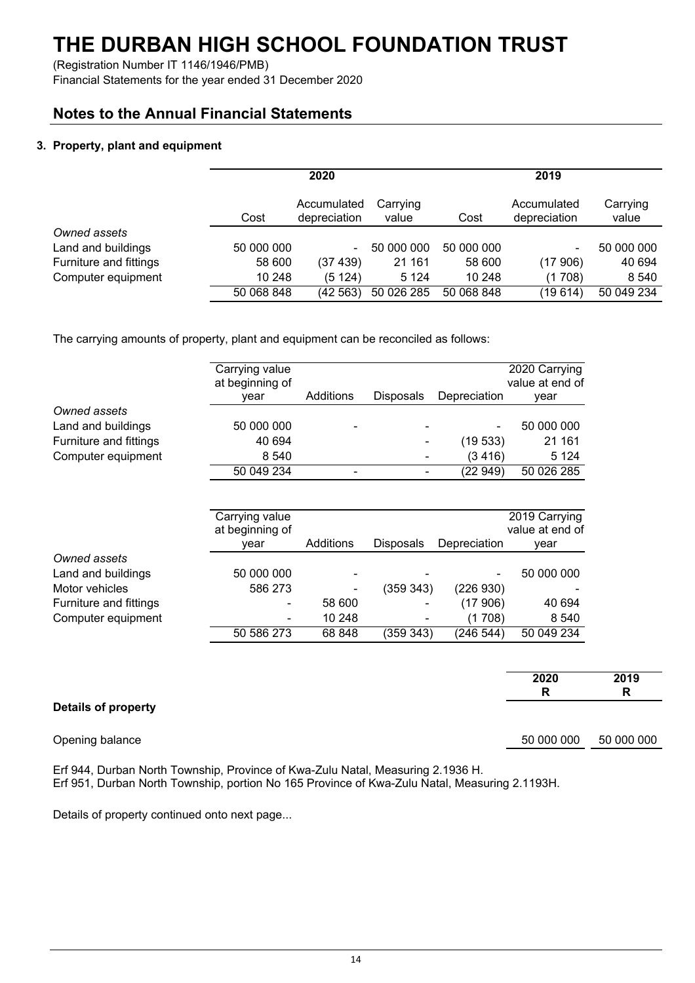(Registration Number IT 1146/1946/PMB)

Financial Statements for the year ended 31 December 2020

## **Notes to the Annual Financial Statements**

### **3. Property, plant and equipment**

|                        |            | 2020                        |                   |            | 2019                        |                   |  |
|------------------------|------------|-----------------------------|-------------------|------------|-----------------------------|-------------------|--|
|                        | Cost       | Accumulated<br>depreciation | Carrying<br>value | Cost       | Accumulated<br>depreciation | Carrying<br>value |  |
| Owned assets           |            |                             |                   |            |                             |                   |  |
| Land and buildings     | 50 000 000 | ۰.                          | 50 000 000        | 50 000 000 | -                           | 50 000 000        |  |
| Furniture and fittings | 58 600     | (37 439)                    | 21 161            | 58 600     | (17906)                     | 40 694            |  |
| Computer equipment     | 10 248     | (5 124)                     | 5 1 2 4           | 10 248     | (1708)                      | 8 5 4 0           |  |
|                        | 50 068 848 | (42563)                     | 50 026 285        | 50 068 848 | (19614)                     | 50 049 234        |  |

The carrying amounts of property, plant and equipment can be reconciled as follows:

|                        | Carrying value<br>at beginning of         |           |           |              | 2020 Carrying<br>value at end of         |
|------------------------|-------------------------------------------|-----------|-----------|--------------|------------------------------------------|
|                        | year                                      | Additions | Disposals | Depreciation | year                                     |
| Owned assets           |                                           |           |           |              |                                          |
| Land and buildings     | 50 000 000                                |           |           |              | 50 000 000                               |
| Furniture and fittings | 40 694                                    |           |           | (19533)      | 21 161                                   |
| Computer equipment     | 8 5 4 0                                   |           |           | (3416)       | 5 1 2 4                                  |
|                        | 50 049 234                                |           |           | (22 949)     | 50 026 285                               |
|                        | Carrying value<br>at beginning of<br>year | Additions | Disposals | Depreciation | 2019 Carrying<br>value at end of<br>year |
| Owned assets           |                                           |           |           |              |                                          |
| Land and buildings     | 50 000 000                                |           |           |              | 50 000 000                               |
| Motor vehicles         | 586 273                                   |           | (359 343) | (226930)     |                                          |
| Furniture and fittings |                                           | 58 600    |           | (17906)      | 40 694                                   |
|                        |                                           |           |           |              |                                          |
| Computer equipment     |                                           | 10 248    |           | 708)<br>(1   | 8 5 4 0                                  |

|                            | 2020<br>R  | 2019<br>R  |
|----------------------------|------------|------------|
| <b>Details of property</b> |            |            |
| Opening balance            | 50 000 000 | 50 000 000 |

Erf 944, Durban North Township, Province of Kwa-Zulu Natal, Measuring 2.1936 H. Erf 951, Durban North Township, portion No 165 Province of Kwa-Zulu Natal, Measuring 2.1193H.

Details of property continued onto next page...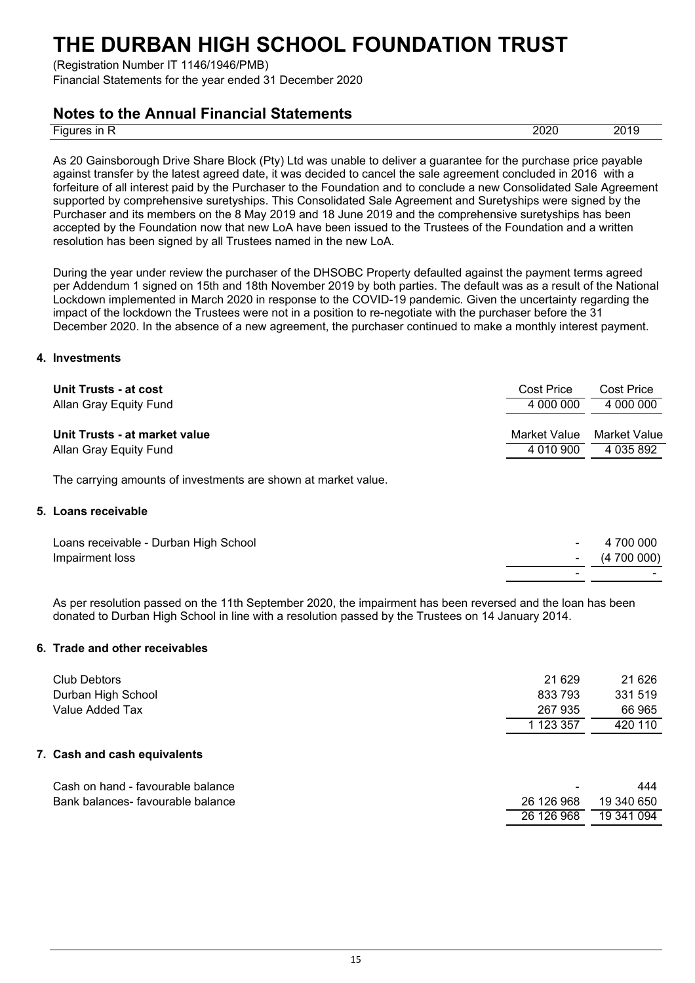(Registration Number IT 1146/1946/PMB)

Financial Statements for the year ended 31 December 2020

### **Notes to the Annual Financial Statements**

| $- \cdot$<br>in<br>Figures | 2020<br>_____ | 201<br>— UIV<br>___ |
|----------------------------|---------------|---------------------|

As 20 Gainsborough Drive Share Block (Pty) Ltd was unable to deliver a guarantee for the purchase price payable against transfer by the latest agreed date, it was decided to cancel the sale agreement concluded in 2016 with a forfeiture of all interest paid by the Purchaser to the Foundation and to conclude a new Consolidated Sale Agreement supported by comprehensive suretyships. This Consolidated Sale Agreement and Suretyships were signed by the Purchaser and its members on the 8 May 2019 and 18 June 2019 and the comprehensive suretyships has been accepted by the Foundation now that new LoA have been issued to the Trustees of the Foundation and a written resolution has been signed by all Trustees named in the new LoA.

During the year under review the purchaser of the DHSOBC Property defaulted against the payment terms agreed per Addendum 1 signed on 15th and 18th November 2019 by both parties. The default was as a result of the National Lockdown implemented in March 2020 in response to the COVID-19 pandemic. Given the uncertainty regarding the impact of the lockdown the Trustees were not in a position to re-negotiate with the purchaser before the 31 December 2020. In the absence of a new agreement, the purchaser continued to make a monthly interest payment.

### **4. Investments**

| Unit Trusts - at cost         | Cost Price   | Cost Price   |
|-------------------------------|--------------|--------------|
| Allan Gray Equity Fund        | 4 000 000    | 4 000 000    |
| Unit Trusts - at market value | Market Value | Market Value |
| Allan Gray Equity Fund        | 4 010 900    | 4 035 892    |

The carrying amounts of investments are shown at market value.

#### **5. Loans receivable**

| Loans receivable - Durban High School | $-4700000$      |
|---------------------------------------|-----------------|
| Impairment loss                       | $-$ (4 700 000) |
|                                       |                 |

As per resolution passed on the 11th September 2020, the impairment has been reversed and the loan has been donated to Durban High School in line with a resolution passed by the Trustees on 14 January 2014.

#### **6. Trade and other receivables**

| Club Debtors                      | 21 6 29    | 21 6 26    |
|-----------------------------------|------------|------------|
| Durban High School                | 833793     | 331 519    |
| Value Added Tax                   | 267 935    | 66 965     |
|                                   | 1 123 357  | 420 110    |
| 7. Cash and cash equivalents      |            |            |
| Cash on hand - favourable balance | -          | 444        |
| Bank balances- favourable balance | 26 126 968 | 19 340 650 |
|                                   | 26 126 968 | 19 341 094 |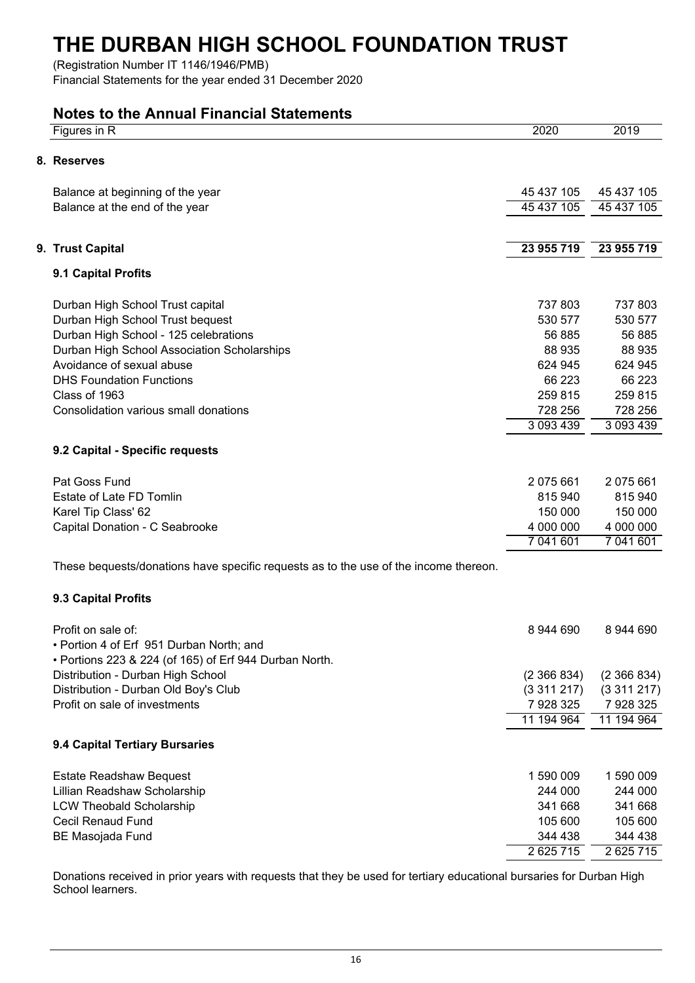(Registration Number IT 1146/1946/PMB)

Financial Statements for the year ended 31 December 2020

### **Notes to the Annual Financial Statements**

| Figures in R                                                                         | 2020       | 2019       |
|--------------------------------------------------------------------------------------|------------|------------|
| 8. Reserves                                                                          |            |            |
| Balance at beginning of the year                                                     | 45 437 105 | 45 437 105 |
| Balance at the end of the year                                                       | 45 437 105 | 45 437 105 |
| 9. Trust Capital                                                                     | 23 955 719 | 23 955 719 |
| 9.1 Capital Profits                                                                  |            |            |
| Durban High School Trust capital                                                     | 737 803    | 737 803    |
| Durban High School Trust bequest                                                     | 530 577    | 530 577    |
| Durban High School - 125 celebrations                                                | 56 885     | 56 885     |
| Durban High School Association Scholarships                                          | 88 935     | 88 935     |
| Avoidance of sexual abuse                                                            | 624 945    | 624 945    |
| <b>DHS Foundation Functions</b>                                                      | 66 223     | 66 223     |
| Class of 1963                                                                        | 259 815    | 259 815    |
| Consolidation various small donations                                                | 728 256    | 728 256    |
|                                                                                      | 3 093 439  | 3 093 439  |
| 9.2 Capital - Specific requests                                                      |            |            |
| Pat Goss Fund                                                                        | 2 075 661  | 2075661    |
| <b>Estate of Late FD Tomlin</b>                                                      | 815 940    | 815 940    |
| Karel Tip Class' 62                                                                  | 150 000    | 150 000    |
| Capital Donation - C Seabrooke                                                       | 4 000 000  | 4 000 000  |
|                                                                                      | 7 041 601  | 7 041 601  |
| These bequests/donations have specific requests as to the use of the income thereon. |            |            |
| 9.3 Capital Profits                                                                  |            |            |
| Profit on sale of:                                                                   | 8 944 690  | 8 944 690  |
| • Portion 4 of Erf 951 Durban North; and                                             |            |            |
| • Portions 223 & 224 (of 165) of Erf 944 Durban North.                               |            |            |
| Distribution - Durban High School                                                    | (2366834)  | (2366834)  |
| Distribution - Durban Old Boy's Club                                                 | (3311217)  | (3311217)  |
| Profit on sale of investments                                                        | 7 928 325  | 7 928 325  |
|                                                                                      | 11 194 964 | 11 194 964 |
| 9.4 Capital Tertiary Bursaries                                                       |            |            |
| <b>Estate Readshaw Bequest</b>                                                       | 1 590 009  | 1 590 009  |
| Lillian Readshaw Scholarship                                                         | 244 000    | 244 000    |
| <b>LCW Theobald Scholarship</b>                                                      | 341 668    | 341 668    |
| <b>Cecil Renaud Fund</b>                                                             | 105 600    | 105 600    |
| <b>BE Masojada Fund</b>                                                              | 344 438    | 344 438    |

Donations received in prior years with requests that they be used for tertiary educational bursaries for Durban High School learners.

2 625 715 2 625 715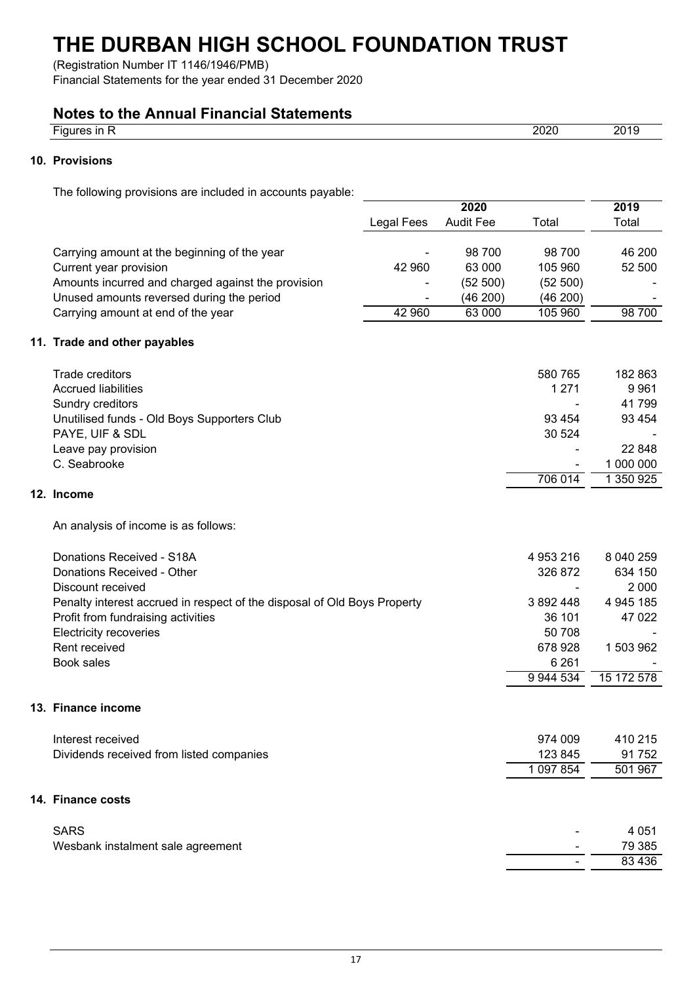(Registration Number IT 1146/1946/PMB)

Financial Statements for the year ended 31 December 2020

### **Notes to the Annual Financial Statements**

| $- \cdot$              |                | . .        |
|------------------------|----------------|------------|
| in I<br><b>Figures</b> | onor.<br>– UZU | ንሮ         |
|                        |                | --<br>____ |

### **10. Provisions**

The following provisions are included in accounts payable:

|                                                                          |            | 2020             |           | 2019       |
|--------------------------------------------------------------------------|------------|------------------|-----------|------------|
|                                                                          | Legal Fees | <b>Audit Fee</b> | Total     | Total      |
| Carrying amount at the beginning of the year                             |            | 98 700           | 98 700    | 46 200     |
| Current year provision                                                   | 42 960     | 63 000           | 105 960   | 52 500     |
| Amounts incurred and charged against the provision                       |            | (52 500)         | (52 500)  |            |
| Unused amounts reversed during the period                                |            | (46 200)         | (46 200)  |            |
| Carrying amount at end of the year                                       | 42 960     | 63 000           | 105 960   | 98 700     |
|                                                                          |            |                  |           |            |
| 11. Trade and other payables                                             |            |                  |           |            |
| Trade creditors                                                          |            |                  | 580 765   | 182 863    |
| <b>Accrued liabilities</b>                                               |            |                  | 1 2 7 1   | 9961       |
| Sundry creditors                                                         |            |                  |           | 41799      |
| Unutilised funds - Old Boys Supporters Club                              |            |                  | 93 4 54   | 93 4 54    |
| PAYE, UIF & SDL                                                          |            |                  | 30 524    |            |
| Leave pay provision                                                      |            |                  |           | 22 848     |
| C. Seabrooke                                                             |            |                  |           | 1 000 000  |
|                                                                          |            |                  | 706 014   | 1 350 925  |
| 12. Income                                                               |            |                  |           |            |
| An analysis of income is as follows:                                     |            |                  |           |            |
| Donations Received - S18A                                                |            |                  | 4 953 216 | 8 040 259  |
| Donations Received - Other                                               |            |                  | 326 872   | 634 150    |
| Discount received                                                        |            |                  |           | 2 0 0 0    |
| Penalty interest accrued in respect of the disposal of Old Boys Property |            |                  | 3 892 448 | 4 945 185  |
| Profit from fundraising activities                                       |            |                  | 36 101    | 47 022     |
| Electricity recoveries                                                   |            |                  | 50 708    |            |
| Rent received                                                            |            |                  | 678 928   | 1 503 962  |
| Book sales                                                               |            |                  | 6 2 6 1   |            |
|                                                                          |            |                  | 9 944 534 | 15 172 578 |
| 13. Finance income                                                       |            |                  |           |            |
| Interest received                                                        |            |                  | 974 009   | 410 215    |
| Dividends received from listed companies                                 |            |                  | 123 845   | 91752      |
|                                                                          |            |                  | 1 097 854 | 501 967    |
| 14. Finance costs                                                        |            |                  |           |            |
|                                                                          |            |                  |           |            |
| <b>SARS</b>                                                              |            |                  |           | 4 0 5 1    |
| Wesbank instalment sale agreement                                        |            |                  |           | 79 385     |
|                                                                          |            |                  |           | 83 4 36    |
|                                                                          |            |                  |           |            |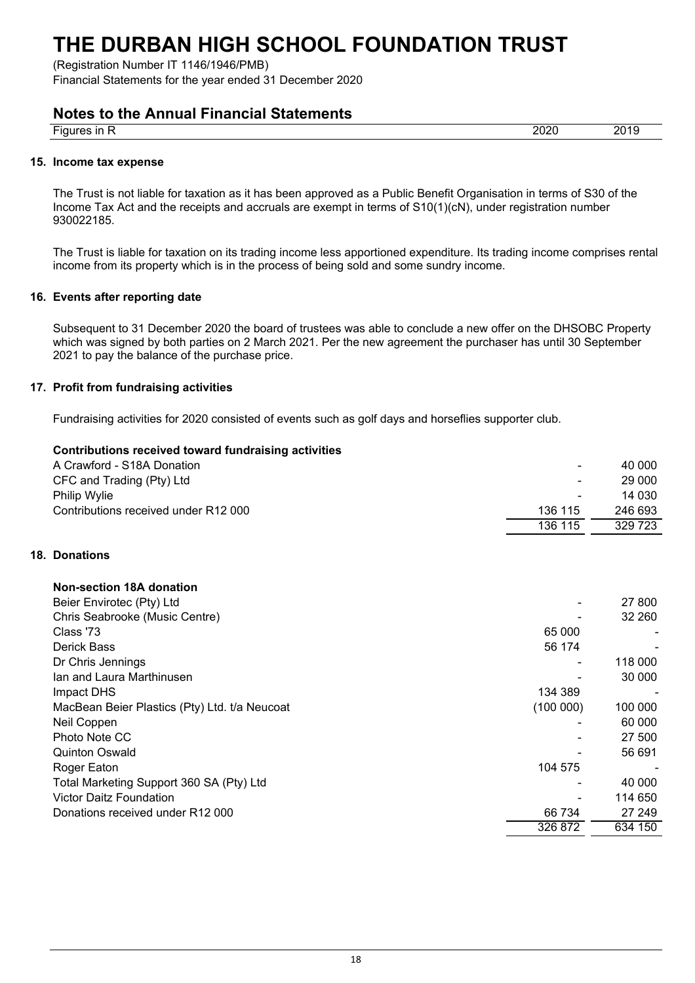(Registration Number IT 1146/1946/PMB)

Financial Statements for the year ended 31 December 2020

### **Notes to the Annual Financial Statements**

Figures in R 2020 2019

#### **15. Income tax expense**

The Trust is not liable for taxation as it has been approved as a Public Benefit Organisation in terms of S30 of the Income Tax Act and the receipts and accruals are exempt in terms of S10(1)(cN), under registration number 930022185.

The Trust is liable for taxation on its trading income less apportioned expenditure. Its trading income comprises rental income from its property which is in the process of being sold and some sundry income.

#### **16. Events after reporting date**

Subsequent to 31 December 2020 the board of trustees was able to conclude a new offer on the DHSOBC Property which was signed by both parties on 2 March 2021. Per the new agreement the purchaser has until 30 September 2021 to pay the balance of the purchase price.

#### **17. Profit from fundraising activities**

Fundraising activities for 2020 consisted of events such as golf days and horseflies supporter club.

#### **Contributions received toward fundraising activities**

| A Crawford - S18A Donation           | $\sim$         | 40 000  |
|--------------------------------------|----------------|---------|
| CFC and Trading (Pty) Ltd            | $\sim$         | 29 000  |
| Philip Wylie                         | $\blacksquare$ | 14 030  |
| Contributions received under R12 000 | 136 115        | 246 693 |
|                                      | 136 115        | 329 723 |

#### **18. Donations**

| Non-section 18A donation                                  |         |
|-----------------------------------------------------------|---------|
| Beier Envirotec (Pty) Ltd                                 | 27 800  |
| Chris Seabrooke (Music Centre)                            | 32 260  |
| Class '73<br>65 000                                       |         |
| Derick Bass<br>56 174                                     |         |
| Dr Chris Jennings                                         | 118 000 |
| lan and Laura Marthinusen                                 | 30 000  |
| 134 389<br>Impact DHS                                     |         |
| (100000)<br>MacBean Beier Plastics (Pty) Ltd. t/a Neucoat | 100 000 |
| Neil Coppen                                               | 60 000  |
| Photo Note CC                                             | 27 500  |
| <b>Quinton Oswald</b>                                     | 56 691  |
| 104 575<br>Roger Eaton                                    |         |
| Total Marketing Support 360 SA (Pty) Ltd                  | 40 000  |
| Victor Daitz Foundation                                   | 114 650 |
| Donations received under R12 000<br>66 734                | 27 249  |
| 326872                                                    | 634 150 |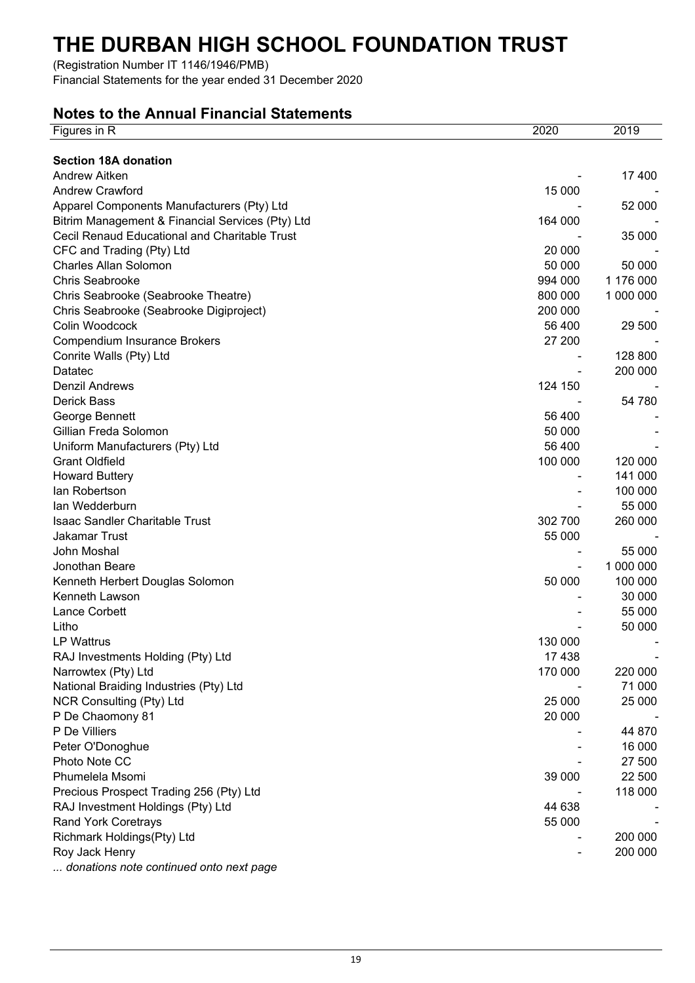(Registration Number IT 1146/1946/PMB)

Financial Statements for the year ended 31 December 2020

### **Notes to the Annual Financial Statements**

| <b>Section 18A donation</b><br><b>Andrew Aitken</b><br>17 400<br><b>Andrew Crawford</b><br>15 000<br>Apparel Components Manufacturers (Pty) Ltd<br>52 000<br>Bitrim Management & Financial Services (Pty) Ltd<br>164 000<br>Cecil Renaud Educational and Charitable Trust<br>35 000<br>20 000<br>CFC and Trading (Pty) Ltd<br><b>Charles Allan Solomon</b><br>50 000<br>50 000<br><b>Chris Seabrooke</b><br>994 000<br>1 176 000<br>800 000<br>1 000 000<br>Chris Seabrooke (Seabrooke Theatre)<br>200 000<br>Chris Seabrooke (Seabrooke Digiproject)<br>Colin Woodcock<br>56 400<br>29 500<br><b>Compendium Insurance Brokers</b><br>27 200<br>128 800<br>Conrite Walls (Pty) Ltd<br>200 000<br>Datatec<br><b>Denzil Andrews</b><br>124 150<br>Derick Bass<br>54 780<br>56 400<br>George Bennett<br>Gillian Freda Solomon<br>50 000<br>56 400<br>Uniform Manufacturers (Pty) Ltd<br><b>Grant Oldfield</b><br>100 000<br>120 000<br>141 000<br><b>Howard Buttery</b><br>lan Robertson<br>100 000<br>Ian Wedderburn<br>55 000<br>Isaac Sandler Charitable Trust<br>302 700<br>260 000<br>Jakamar Trust<br>55 000<br>John Moshal<br>55 000<br>Jonothan Beare<br>1 000 000<br>50 000<br>100 000<br>Kenneth Herbert Douglas Solomon<br><b>Kenneth Lawson</b><br>30 000<br>Lance Corbett<br>55 000<br>50 000<br>Litho<br>130 000<br>LP Wattrus<br>RAJ Investments Holding (Pty) Ltd<br>17438<br>170 000<br>220 000<br>Narrowtex (Pty) Ltd<br>National Braiding Industries (Pty) Ltd<br>71 000<br>NCR Consulting (Pty) Ltd<br>25 000<br>25 000<br>P De Chaomony 81<br>20 000<br>P De Villiers<br>44 870<br>Peter O'Donoghue<br>16 000<br>Photo Note CC<br>27 500<br>Phumelela Msomi<br>39 000<br>22 500 | Figures in R | 2020 | 2019 |
|---------------------------------------------------------------------------------------------------------------------------------------------------------------------------------------------------------------------------------------------------------------------------------------------------------------------------------------------------------------------------------------------------------------------------------------------------------------------------------------------------------------------------------------------------------------------------------------------------------------------------------------------------------------------------------------------------------------------------------------------------------------------------------------------------------------------------------------------------------------------------------------------------------------------------------------------------------------------------------------------------------------------------------------------------------------------------------------------------------------------------------------------------------------------------------------------------------------------------------------------------------------------------------------------------------------------------------------------------------------------------------------------------------------------------------------------------------------------------------------------------------------------------------------------------------------------------------------------------------------------------------------------------------------------------------------------------|--------------|------|------|
|                                                                                                                                                                                                                                                                                                                                                                                                                                                                                                                                                                                                                                                                                                                                                                                                                                                                                                                                                                                                                                                                                                                                                                                                                                                                                                                                                                                                                                                                                                                                                                                                                                                                                                   |              |      |      |
|                                                                                                                                                                                                                                                                                                                                                                                                                                                                                                                                                                                                                                                                                                                                                                                                                                                                                                                                                                                                                                                                                                                                                                                                                                                                                                                                                                                                                                                                                                                                                                                                                                                                                                   |              |      |      |
|                                                                                                                                                                                                                                                                                                                                                                                                                                                                                                                                                                                                                                                                                                                                                                                                                                                                                                                                                                                                                                                                                                                                                                                                                                                                                                                                                                                                                                                                                                                                                                                                                                                                                                   |              |      |      |
|                                                                                                                                                                                                                                                                                                                                                                                                                                                                                                                                                                                                                                                                                                                                                                                                                                                                                                                                                                                                                                                                                                                                                                                                                                                                                                                                                                                                                                                                                                                                                                                                                                                                                                   |              |      |      |
|                                                                                                                                                                                                                                                                                                                                                                                                                                                                                                                                                                                                                                                                                                                                                                                                                                                                                                                                                                                                                                                                                                                                                                                                                                                                                                                                                                                                                                                                                                                                                                                                                                                                                                   |              |      |      |
|                                                                                                                                                                                                                                                                                                                                                                                                                                                                                                                                                                                                                                                                                                                                                                                                                                                                                                                                                                                                                                                                                                                                                                                                                                                                                                                                                                                                                                                                                                                                                                                                                                                                                                   |              |      |      |
|                                                                                                                                                                                                                                                                                                                                                                                                                                                                                                                                                                                                                                                                                                                                                                                                                                                                                                                                                                                                                                                                                                                                                                                                                                                                                                                                                                                                                                                                                                                                                                                                                                                                                                   |              |      |      |
|                                                                                                                                                                                                                                                                                                                                                                                                                                                                                                                                                                                                                                                                                                                                                                                                                                                                                                                                                                                                                                                                                                                                                                                                                                                                                                                                                                                                                                                                                                                                                                                                                                                                                                   |              |      |      |
|                                                                                                                                                                                                                                                                                                                                                                                                                                                                                                                                                                                                                                                                                                                                                                                                                                                                                                                                                                                                                                                                                                                                                                                                                                                                                                                                                                                                                                                                                                                                                                                                                                                                                                   |              |      |      |
|                                                                                                                                                                                                                                                                                                                                                                                                                                                                                                                                                                                                                                                                                                                                                                                                                                                                                                                                                                                                                                                                                                                                                                                                                                                                                                                                                                                                                                                                                                                                                                                                                                                                                                   |              |      |      |
|                                                                                                                                                                                                                                                                                                                                                                                                                                                                                                                                                                                                                                                                                                                                                                                                                                                                                                                                                                                                                                                                                                                                                                                                                                                                                                                                                                                                                                                                                                                                                                                                                                                                                                   |              |      |      |
|                                                                                                                                                                                                                                                                                                                                                                                                                                                                                                                                                                                                                                                                                                                                                                                                                                                                                                                                                                                                                                                                                                                                                                                                                                                                                                                                                                                                                                                                                                                                                                                                                                                                                                   |              |      |      |
|                                                                                                                                                                                                                                                                                                                                                                                                                                                                                                                                                                                                                                                                                                                                                                                                                                                                                                                                                                                                                                                                                                                                                                                                                                                                                                                                                                                                                                                                                                                                                                                                                                                                                                   |              |      |      |
|                                                                                                                                                                                                                                                                                                                                                                                                                                                                                                                                                                                                                                                                                                                                                                                                                                                                                                                                                                                                                                                                                                                                                                                                                                                                                                                                                                                                                                                                                                                                                                                                                                                                                                   |              |      |      |
|                                                                                                                                                                                                                                                                                                                                                                                                                                                                                                                                                                                                                                                                                                                                                                                                                                                                                                                                                                                                                                                                                                                                                                                                                                                                                                                                                                                                                                                                                                                                                                                                                                                                                                   |              |      |      |
|                                                                                                                                                                                                                                                                                                                                                                                                                                                                                                                                                                                                                                                                                                                                                                                                                                                                                                                                                                                                                                                                                                                                                                                                                                                                                                                                                                                                                                                                                                                                                                                                                                                                                                   |              |      |      |
|                                                                                                                                                                                                                                                                                                                                                                                                                                                                                                                                                                                                                                                                                                                                                                                                                                                                                                                                                                                                                                                                                                                                                                                                                                                                                                                                                                                                                                                                                                                                                                                                                                                                                                   |              |      |      |
|                                                                                                                                                                                                                                                                                                                                                                                                                                                                                                                                                                                                                                                                                                                                                                                                                                                                                                                                                                                                                                                                                                                                                                                                                                                                                                                                                                                                                                                                                                                                                                                                                                                                                                   |              |      |      |
|                                                                                                                                                                                                                                                                                                                                                                                                                                                                                                                                                                                                                                                                                                                                                                                                                                                                                                                                                                                                                                                                                                                                                                                                                                                                                                                                                                                                                                                                                                                                                                                                                                                                                                   |              |      |      |
|                                                                                                                                                                                                                                                                                                                                                                                                                                                                                                                                                                                                                                                                                                                                                                                                                                                                                                                                                                                                                                                                                                                                                                                                                                                                                                                                                                                                                                                                                                                                                                                                                                                                                                   |              |      |      |
|                                                                                                                                                                                                                                                                                                                                                                                                                                                                                                                                                                                                                                                                                                                                                                                                                                                                                                                                                                                                                                                                                                                                                                                                                                                                                                                                                                                                                                                                                                                                                                                                                                                                                                   |              |      |      |
|                                                                                                                                                                                                                                                                                                                                                                                                                                                                                                                                                                                                                                                                                                                                                                                                                                                                                                                                                                                                                                                                                                                                                                                                                                                                                                                                                                                                                                                                                                                                                                                                                                                                                                   |              |      |      |
|                                                                                                                                                                                                                                                                                                                                                                                                                                                                                                                                                                                                                                                                                                                                                                                                                                                                                                                                                                                                                                                                                                                                                                                                                                                                                                                                                                                                                                                                                                                                                                                                                                                                                                   |              |      |      |
|                                                                                                                                                                                                                                                                                                                                                                                                                                                                                                                                                                                                                                                                                                                                                                                                                                                                                                                                                                                                                                                                                                                                                                                                                                                                                                                                                                                                                                                                                                                                                                                                                                                                                                   |              |      |      |
|                                                                                                                                                                                                                                                                                                                                                                                                                                                                                                                                                                                                                                                                                                                                                                                                                                                                                                                                                                                                                                                                                                                                                                                                                                                                                                                                                                                                                                                                                                                                                                                                                                                                                                   |              |      |      |
|                                                                                                                                                                                                                                                                                                                                                                                                                                                                                                                                                                                                                                                                                                                                                                                                                                                                                                                                                                                                                                                                                                                                                                                                                                                                                                                                                                                                                                                                                                                                                                                                                                                                                                   |              |      |      |
|                                                                                                                                                                                                                                                                                                                                                                                                                                                                                                                                                                                                                                                                                                                                                                                                                                                                                                                                                                                                                                                                                                                                                                                                                                                                                                                                                                                                                                                                                                                                                                                                                                                                                                   |              |      |      |
|                                                                                                                                                                                                                                                                                                                                                                                                                                                                                                                                                                                                                                                                                                                                                                                                                                                                                                                                                                                                                                                                                                                                                                                                                                                                                                                                                                                                                                                                                                                                                                                                                                                                                                   |              |      |      |
|                                                                                                                                                                                                                                                                                                                                                                                                                                                                                                                                                                                                                                                                                                                                                                                                                                                                                                                                                                                                                                                                                                                                                                                                                                                                                                                                                                                                                                                                                                                                                                                                                                                                                                   |              |      |      |
|                                                                                                                                                                                                                                                                                                                                                                                                                                                                                                                                                                                                                                                                                                                                                                                                                                                                                                                                                                                                                                                                                                                                                                                                                                                                                                                                                                                                                                                                                                                                                                                                                                                                                                   |              |      |      |
|                                                                                                                                                                                                                                                                                                                                                                                                                                                                                                                                                                                                                                                                                                                                                                                                                                                                                                                                                                                                                                                                                                                                                                                                                                                                                                                                                                                                                                                                                                                                                                                                                                                                                                   |              |      |      |
|                                                                                                                                                                                                                                                                                                                                                                                                                                                                                                                                                                                                                                                                                                                                                                                                                                                                                                                                                                                                                                                                                                                                                                                                                                                                                                                                                                                                                                                                                                                                                                                                                                                                                                   |              |      |      |
|                                                                                                                                                                                                                                                                                                                                                                                                                                                                                                                                                                                                                                                                                                                                                                                                                                                                                                                                                                                                                                                                                                                                                                                                                                                                                                                                                                                                                                                                                                                                                                                                                                                                                                   |              |      |      |
|                                                                                                                                                                                                                                                                                                                                                                                                                                                                                                                                                                                                                                                                                                                                                                                                                                                                                                                                                                                                                                                                                                                                                                                                                                                                                                                                                                                                                                                                                                                                                                                                                                                                                                   |              |      |      |
|                                                                                                                                                                                                                                                                                                                                                                                                                                                                                                                                                                                                                                                                                                                                                                                                                                                                                                                                                                                                                                                                                                                                                                                                                                                                                                                                                                                                                                                                                                                                                                                                                                                                                                   |              |      |      |
|                                                                                                                                                                                                                                                                                                                                                                                                                                                                                                                                                                                                                                                                                                                                                                                                                                                                                                                                                                                                                                                                                                                                                                                                                                                                                                                                                                                                                                                                                                                                                                                                                                                                                                   |              |      |      |
|                                                                                                                                                                                                                                                                                                                                                                                                                                                                                                                                                                                                                                                                                                                                                                                                                                                                                                                                                                                                                                                                                                                                                                                                                                                                                                                                                                                                                                                                                                                                                                                                                                                                                                   |              |      |      |
|                                                                                                                                                                                                                                                                                                                                                                                                                                                                                                                                                                                                                                                                                                                                                                                                                                                                                                                                                                                                                                                                                                                                                                                                                                                                                                                                                                                                                                                                                                                                                                                                                                                                                                   |              |      |      |
|                                                                                                                                                                                                                                                                                                                                                                                                                                                                                                                                                                                                                                                                                                                                                                                                                                                                                                                                                                                                                                                                                                                                                                                                                                                                                                                                                                                                                                                                                                                                                                                                                                                                                                   |              |      |      |
|                                                                                                                                                                                                                                                                                                                                                                                                                                                                                                                                                                                                                                                                                                                                                                                                                                                                                                                                                                                                                                                                                                                                                                                                                                                                                                                                                                                                                                                                                                                                                                                                                                                                                                   |              |      |      |
|                                                                                                                                                                                                                                                                                                                                                                                                                                                                                                                                                                                                                                                                                                                                                                                                                                                                                                                                                                                                                                                                                                                                                                                                                                                                                                                                                                                                                                                                                                                                                                                                                                                                                                   |              |      |      |
|                                                                                                                                                                                                                                                                                                                                                                                                                                                                                                                                                                                                                                                                                                                                                                                                                                                                                                                                                                                                                                                                                                                                                                                                                                                                                                                                                                                                                                                                                                                                                                                                                                                                                                   |              |      |      |
|                                                                                                                                                                                                                                                                                                                                                                                                                                                                                                                                                                                                                                                                                                                                                                                                                                                                                                                                                                                                                                                                                                                                                                                                                                                                                                                                                                                                                                                                                                                                                                                                                                                                                                   |              |      |      |
| 118 000<br>Precious Prospect Trading 256 (Pty) Ltd                                                                                                                                                                                                                                                                                                                                                                                                                                                                                                                                                                                                                                                                                                                                                                                                                                                                                                                                                                                                                                                                                                                                                                                                                                                                                                                                                                                                                                                                                                                                                                                                                                                |              |      |      |
| RAJ Investment Holdings (Pty) Ltd<br>44 638                                                                                                                                                                                                                                                                                                                                                                                                                                                                                                                                                                                                                                                                                                                                                                                                                                                                                                                                                                                                                                                                                                                                                                                                                                                                                                                                                                                                                                                                                                                                                                                                                                                       |              |      |      |
| <b>Rand York Coretrays</b><br>55 000                                                                                                                                                                                                                                                                                                                                                                                                                                                                                                                                                                                                                                                                                                                                                                                                                                                                                                                                                                                                                                                                                                                                                                                                                                                                                                                                                                                                                                                                                                                                                                                                                                                              |              |      |      |
| Richmark Holdings(Pty) Ltd<br>200 000                                                                                                                                                                                                                                                                                                                                                                                                                                                                                                                                                                                                                                                                                                                                                                                                                                                                                                                                                                                                                                                                                                                                                                                                                                                                                                                                                                                                                                                                                                                                                                                                                                                             |              |      |      |
| Roy Jack Henry<br>200 000                                                                                                                                                                                                                                                                                                                                                                                                                                                                                                                                                                                                                                                                                                                                                                                                                                                                                                                                                                                                                                                                                                                                                                                                                                                                                                                                                                                                                                                                                                                                                                                                                                                                         |              |      |      |
| donations note continued onto next page                                                                                                                                                                                                                                                                                                                                                                                                                                                                                                                                                                                                                                                                                                                                                                                                                                                                                                                                                                                                                                                                                                                                                                                                                                                                                                                                                                                                                                                                                                                                                                                                                                                           |              |      |      |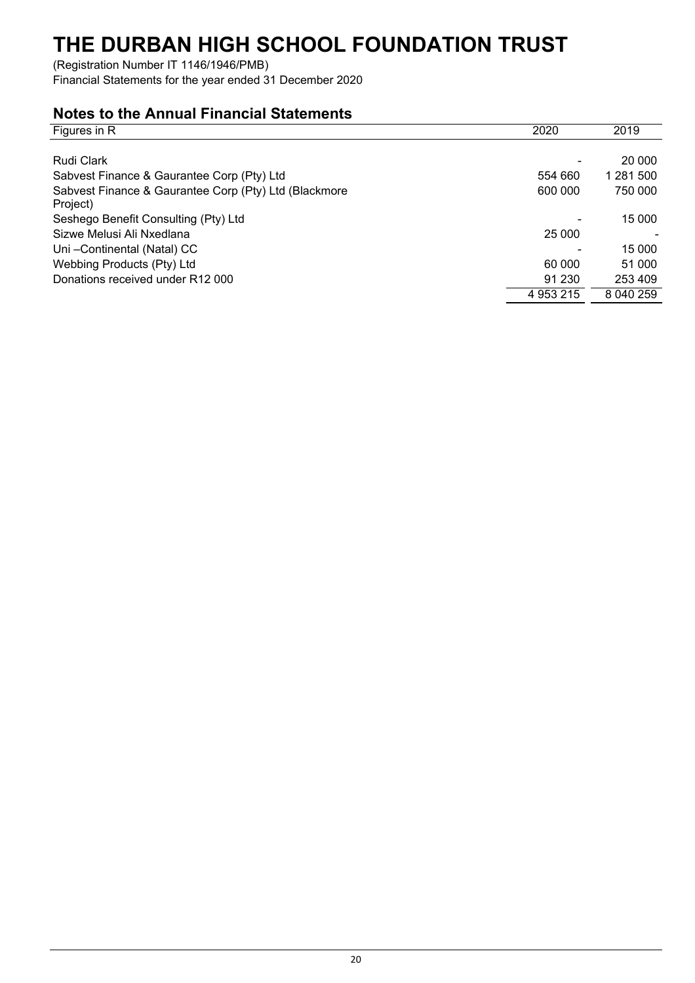(Registration Number IT 1146/1946/PMB)

Financial Statements for the year ended 31 December 2020

## **Notes to the Annual Financial Statements**

| Figures in R                                          | 2020      | 2019      |
|-------------------------------------------------------|-----------|-----------|
|                                                       |           |           |
| <b>Rudi Clark</b>                                     |           | 20 000    |
| Sabvest Finance & Gaurantee Corp (Pty) Ltd            | 554 660   | 1 281 500 |
| Sabvest Finance & Gaurantee Corp (Pty) Ltd (Blackmore | 600 000   | 750 000   |
| Project)                                              |           |           |
| Seshego Benefit Consulting (Pty) Ltd                  |           | 15 000    |
| Sizwe Melusi Ali Nxedlana                             | 25 000    |           |
| Uni-Continental (Natal) CC                            |           | 15 000    |
| Webbing Products (Pty) Ltd                            | 60 000    | 51 000    |
| Donations received under R12 000                      | 91 230    | 253 409   |
|                                                       | 4 953 215 | 8 040 259 |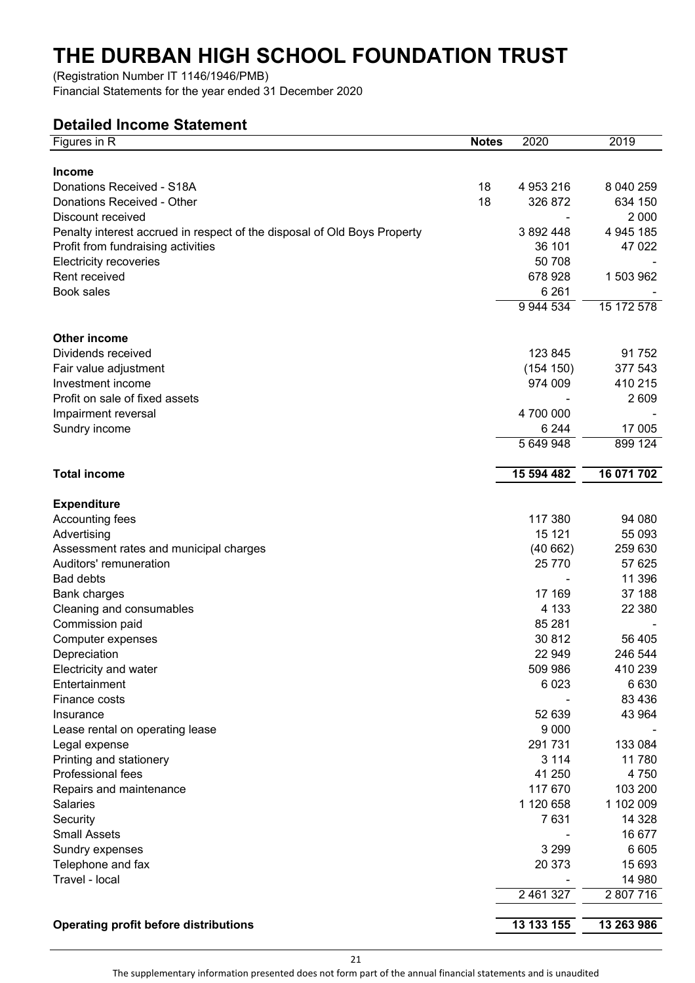(Registration Number IT 1146/1946/PMB) Financial Statements for the year ended 31 December 2020

### **Detailed Income Statement**

| Figures in R                                                             | <b>Notes</b> | 2020       | 2019                |
|--------------------------------------------------------------------------|--------------|------------|---------------------|
|                                                                          |              |            |                     |
| <b>Income</b>                                                            |              |            |                     |
| Donations Received - S18A                                                | 18           | 4 953 216  | 8 040 259           |
| Donations Received - Other                                               | 18           | 326 872    | 634 150             |
| Discount received                                                        |              |            | 2 0 0 0             |
| Penalty interest accrued in respect of the disposal of Old Boys Property |              | 3 892 448  | 4 945 185           |
| Profit from fundraising activities                                       |              | 36 101     | 47 022              |
| Electricity recoveries<br>Rent received                                  |              | 50 708     |                     |
| <b>Book sales</b>                                                        |              | 678 928    | 1 503 962           |
|                                                                          |              | 6 2 6 1    |                     |
|                                                                          |              | 9 944 534  | 15 172 578          |
| <b>Other income</b>                                                      |              |            |                     |
| Dividends received                                                       |              | 123 845    | 91752               |
| Fair value adjustment                                                    |              | (154 150)  | 377 543             |
| Investment income                                                        |              | 974 009    | 410 215             |
| Profit on sale of fixed assets                                           |              |            | 2 6 0 9             |
| Impairment reversal                                                      |              | 4 700 000  |                     |
| Sundry income                                                            |              | 6 2 4 4    | 17 005              |
|                                                                          |              | 5 649 948  | 899 124             |
| <b>Total income</b>                                                      |              | 15 594 482 | 16 071 702          |
|                                                                          |              |            |                     |
| <b>Expenditure</b>                                                       |              |            |                     |
| Accounting fees                                                          |              | 117 380    | 94 080              |
| Advertising                                                              |              | 15 121     | 55 093              |
| Assessment rates and municipal charges                                   |              | (40662)    | 259 630             |
| Auditors' remuneration                                                   |              | 25 770     | 57 625              |
| <b>Bad debts</b>                                                         |              |            | 11 396              |
| <b>Bank charges</b>                                                      |              | 17 169     | 37 188              |
| Cleaning and consumables                                                 |              | 4 1 3 3    | 22 380              |
| Commission paid                                                          |              | 85 281     |                     |
| Computer expenses                                                        |              | 30 812     | 56 405              |
| Depreciation                                                             |              | 22 949     | 246 544             |
| Electricity and water                                                    |              | 509 986    | 410 239             |
| Entertainment                                                            |              | 6 0 23     | 6630                |
| Finance costs                                                            |              |            | 83 4 36             |
| Insurance                                                                |              | 52 639     | 43 964              |
| Lease rental on operating lease                                          |              | 9 0 0 0    |                     |
| Legal expense                                                            |              | 291 731    | 133 084             |
| Printing and stationery                                                  |              | 3 1 1 4    | 11780               |
| Professional fees                                                        |              | 41 250     | 4 7 5 0             |
| Repairs and maintenance                                                  |              | 117 670    | 103 200             |
| <b>Salaries</b>                                                          |              | 1 120 658  | 1 102 009           |
| Security                                                                 |              | 7631       | 14 3 28             |
| <b>Small Assets</b>                                                      |              |            | 16 677              |
| Sundry expenses                                                          |              | 3 2 9 9    | 6 6 0 5             |
| Telephone and fax                                                        |              | 20 373     | 15 693              |
| Travel - local                                                           |              | 2 461 327  | 14 980<br>2 807 716 |
|                                                                          |              |            |                     |
| <b>Operating profit before distributions</b>                             |              | 13 133 155 | 13 263 986          |